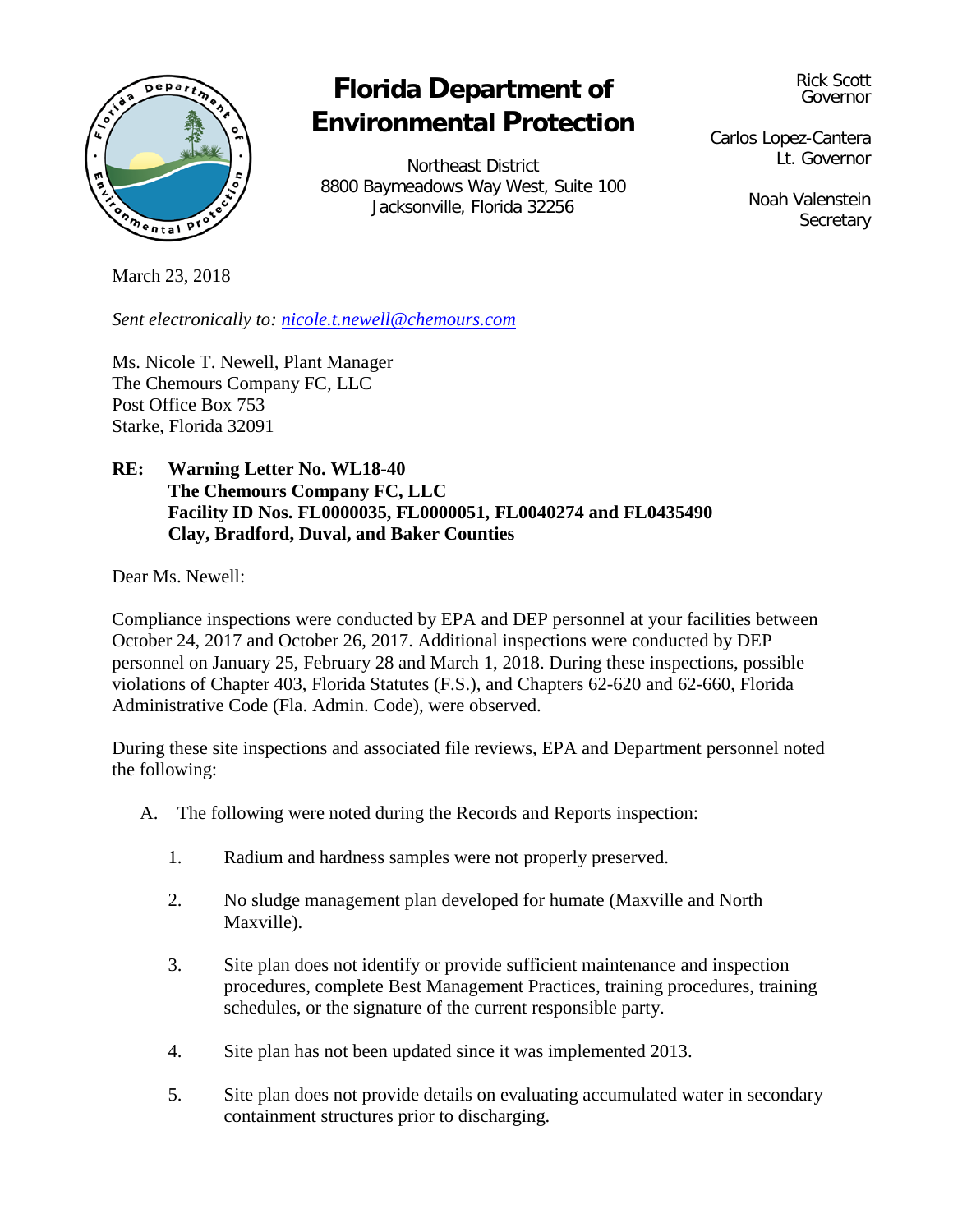

# **Florida Department of Environmental Protection**

Northeast District 8800 Baymeadows Way West, Suite 100 Jacksonville, Florida 32256

Rick Scott Governor

Carlos Lopez-Cantera Lt. Governor

> Noah Valenstein **Secretary**

March 23, 2018

*Sent electronically to: [nicole.t.newell@chemours.com](mailto:nicole.t.newell@chemours.com)*

Ms. Nicole T. Newell, Plant Manager The Chemours Company FC, LLC Post Office Box 753 Starke, Florida 32091

## **RE: Warning Letter No. WL18-40 The Chemours Company FC, LLC Facility ID Nos. FL0000035, FL0000051, FL0040274 and FL0435490 Clay, Bradford, Duval, and Baker Counties**

Dear Ms. Newell:

Compliance inspections were conducted by EPA and DEP personnel at your facilities between October 24, 2017 and October 26, 2017. Additional inspections were conducted by DEP personnel on January 25, February 28 and March 1, 2018. During these inspections, possible violations of Chapter 403, Florida Statutes (F.S.), and Chapters 62-620 and 62-660, Florida Administrative Code (Fla. Admin. Code), were observed.

During these site inspections and associated file reviews, EPA and Department personnel noted the following:

- A. The following were noted during the Records and Reports inspection:
	- 1. Radium and hardness samples were not properly preserved.
	- 2. No sludge management plan developed for humate (Maxville and North Maxville).
	- 3. Site plan does not identify or provide sufficient maintenance and inspection procedures, complete Best Management Practices, training procedures, training schedules, or the signature of the current responsible party.
	- 4. Site plan has not been updated since it was implemented 2013.
	- 5. Site plan does not provide details on evaluating accumulated water in secondary containment structures prior to discharging.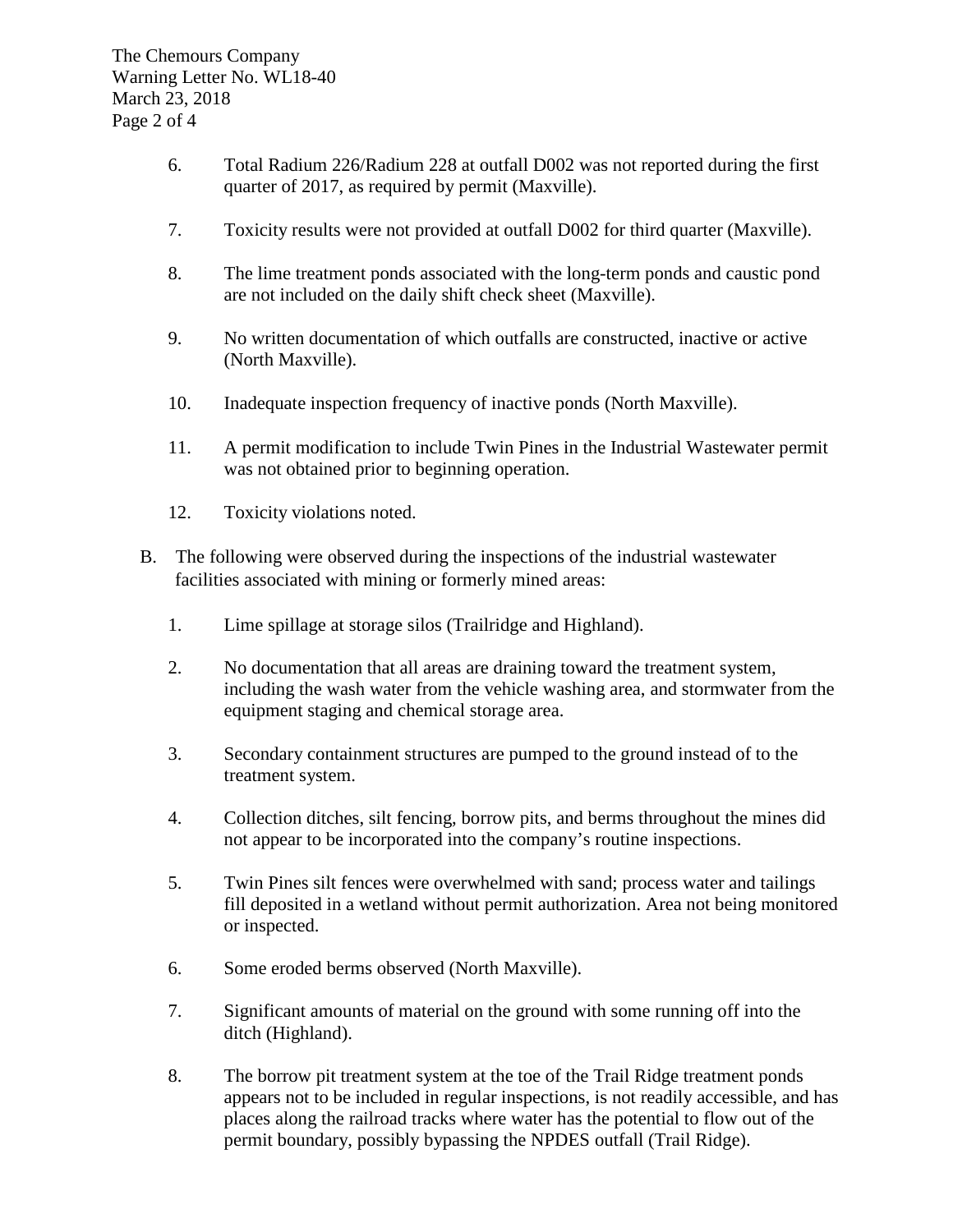- 6. Total Radium 226/Radium 228 at outfall D002 was not reported during the first quarter of 2017, as required by permit (Maxville).
- 7. Toxicity results were not provided at outfall D002 for third quarter (Maxville).
- 8. The lime treatment ponds associated with the long-term ponds and caustic pond are not included on the daily shift check sheet (Maxville).
- 9. No written documentation of which outfalls are constructed, inactive or active (North Maxville).
- 10. Inadequate inspection frequency of inactive ponds (North Maxville).
- 11. A permit modification to include Twin Pines in the Industrial Wastewater permit was not obtained prior to beginning operation.
- 12. Toxicity violations noted.
- B. The following were observed during the inspections of the industrial wastewater facilities associated with mining or formerly mined areas:
	- 1. Lime spillage at storage silos (Trailridge and Highland).
	- 2. No documentation that all areas are draining toward the treatment system, including the wash water from the vehicle washing area, and stormwater from the equipment staging and chemical storage area.
	- 3. Secondary containment structures are pumped to the ground instead of to the treatment system.
	- 4. Collection ditches, silt fencing, borrow pits, and berms throughout the mines did not appear to be incorporated into the company's routine inspections.
	- 5. Twin Pines silt fences were overwhelmed with sand; process water and tailings fill deposited in a wetland without permit authorization. Area not being monitored or inspected.
	- 6. Some eroded berms observed (North Maxville).
	- 7. Significant amounts of material on the ground with some running off into the ditch (Highland).
	- 8. The borrow pit treatment system at the toe of the Trail Ridge treatment ponds appears not to be included in regular inspections, is not readily accessible, and has places along the railroad tracks where water has the potential to flow out of the permit boundary, possibly bypassing the NPDES outfall (Trail Ridge).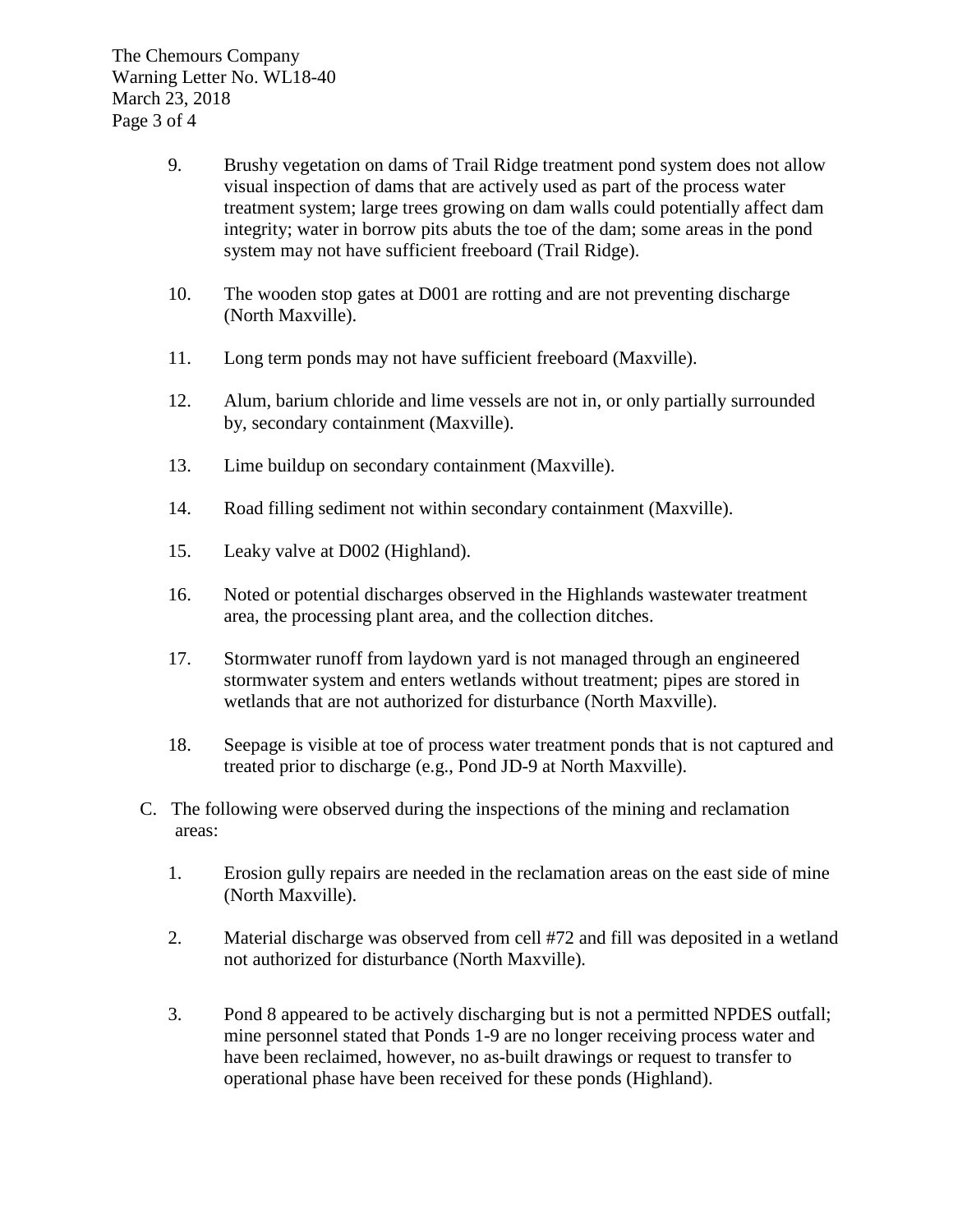- 9. Brushy vegetation on dams of Trail Ridge treatment pond system does not allow visual inspection of dams that are actively used as part of the process water treatment system; large trees growing on dam walls could potentially affect dam integrity; water in borrow pits abuts the toe of the dam; some areas in the pond system may not have sufficient freeboard (Trail Ridge).
- 10. The wooden stop gates at D001 are rotting and are not preventing discharge (North Maxville).
- 11. Long term ponds may not have sufficient freeboard (Maxville).
- 12. Alum, barium chloride and lime vessels are not in, or only partially surrounded by, secondary containment (Maxville).
- 13. Lime buildup on secondary containment (Maxville).
- 14. Road filling sediment not within secondary containment (Maxville).
- 15. Leaky valve at D002 (Highland).
- 16. Noted or potential discharges observed in the Highlands wastewater treatment area, the processing plant area, and the collection ditches.
- 17. Stormwater runoff from laydown yard is not managed through an engineered stormwater system and enters wetlands without treatment; pipes are stored in wetlands that are not authorized for disturbance (North Maxville).
- 18. Seepage is visible at toe of process water treatment ponds that is not captured and treated prior to discharge (e.g., Pond JD-9 at North Maxville).
- C. The following were observed during the inspections of the mining and reclamation areas:
	- 1. Erosion gully repairs are needed in the reclamation areas on the east side of mine (North Maxville).
	- 2. Material discharge was observed from cell #72 and fill was deposited in a wetland not authorized for disturbance (North Maxville).
	- 3. Pond 8 appeared to be actively discharging but is not a permitted NPDES outfall; mine personnel stated that Ponds 1-9 are no longer receiving process water and have been reclaimed, however, no as-built drawings or request to transfer to operational phase have been received for these ponds (Highland).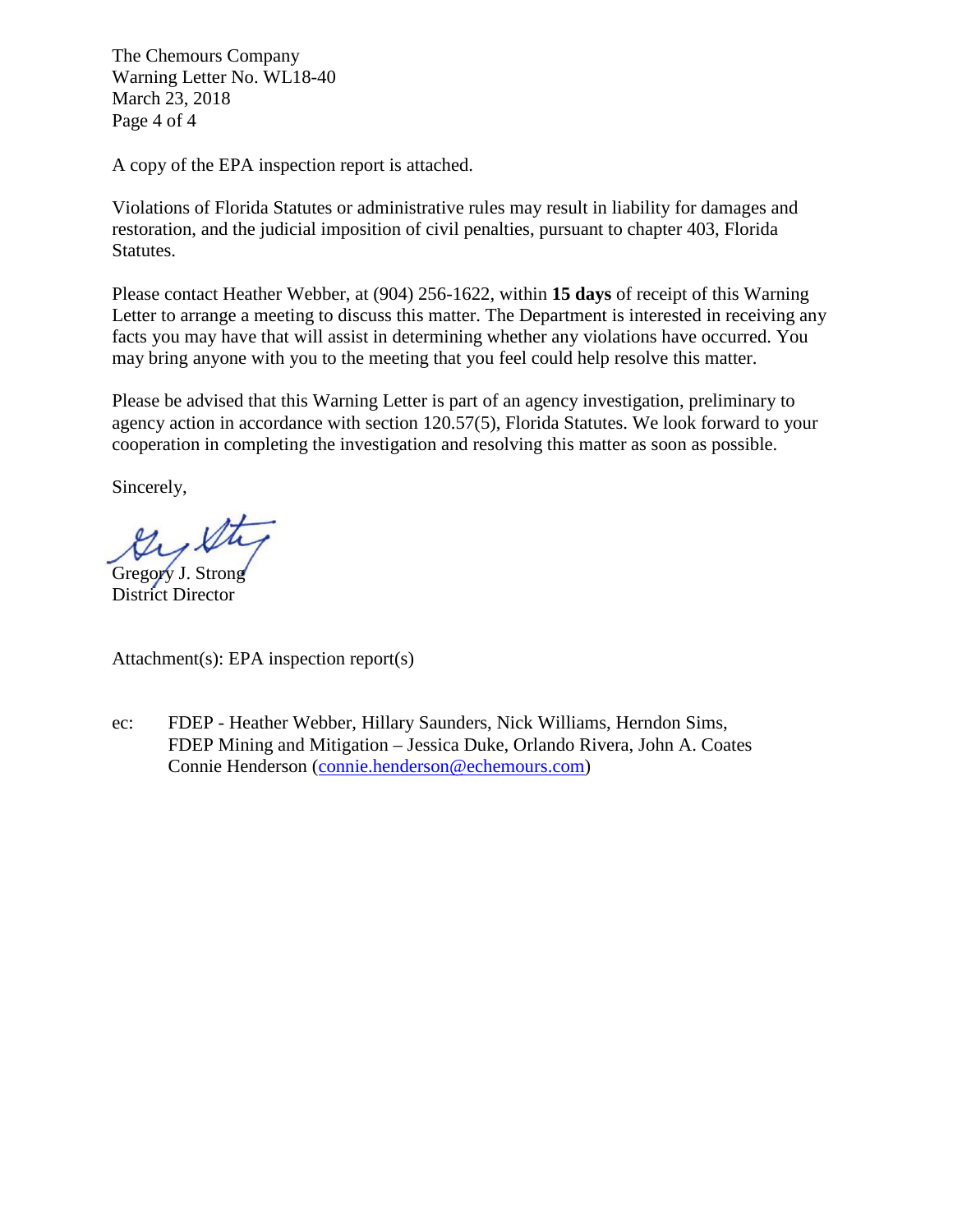The Chemours Company Warning Letter No. WL18-40 March 23, 2018 Page 4 of 4

A copy of the EPA inspection report is attached.

Violations of Florida Statutes or administrative rules may result in liability for damages and restoration, and the judicial imposition of civil penalties, pursuant to chapter 403, Florida Statutes.

Please contact Heather Webber, at (904) 256-1622, within **15 days** of receipt of this Warning Letter to arrange a meeting to discuss this matter. The Department is interested in receiving any facts you may have that will assist in determining whether any violations have occurred. You may bring anyone with you to the meeting that you feel could help resolve this matter.

Please be advised that this Warning Letter is part of an agency investigation, preliminary to agency action in accordance with section 120.57(5), Florida Statutes. We look forward to your cooperation in completing the investigation and resolving this matter as soon as possible.

Sincerely,

Ky St

Gregory J. Strong District Director

Attachment(s): EPA inspection report(s)

ec: FDEP - Heather Webber, Hillary Saunders, Nick Williams, Herndon Sims, FDEP Mining and Mitigation – Jessica Duke, Orlando Rivera, John A. Coates Connie Henderson [\(connie.henderson@echemours.com\)](mailto:connie.henderson@echemours.com)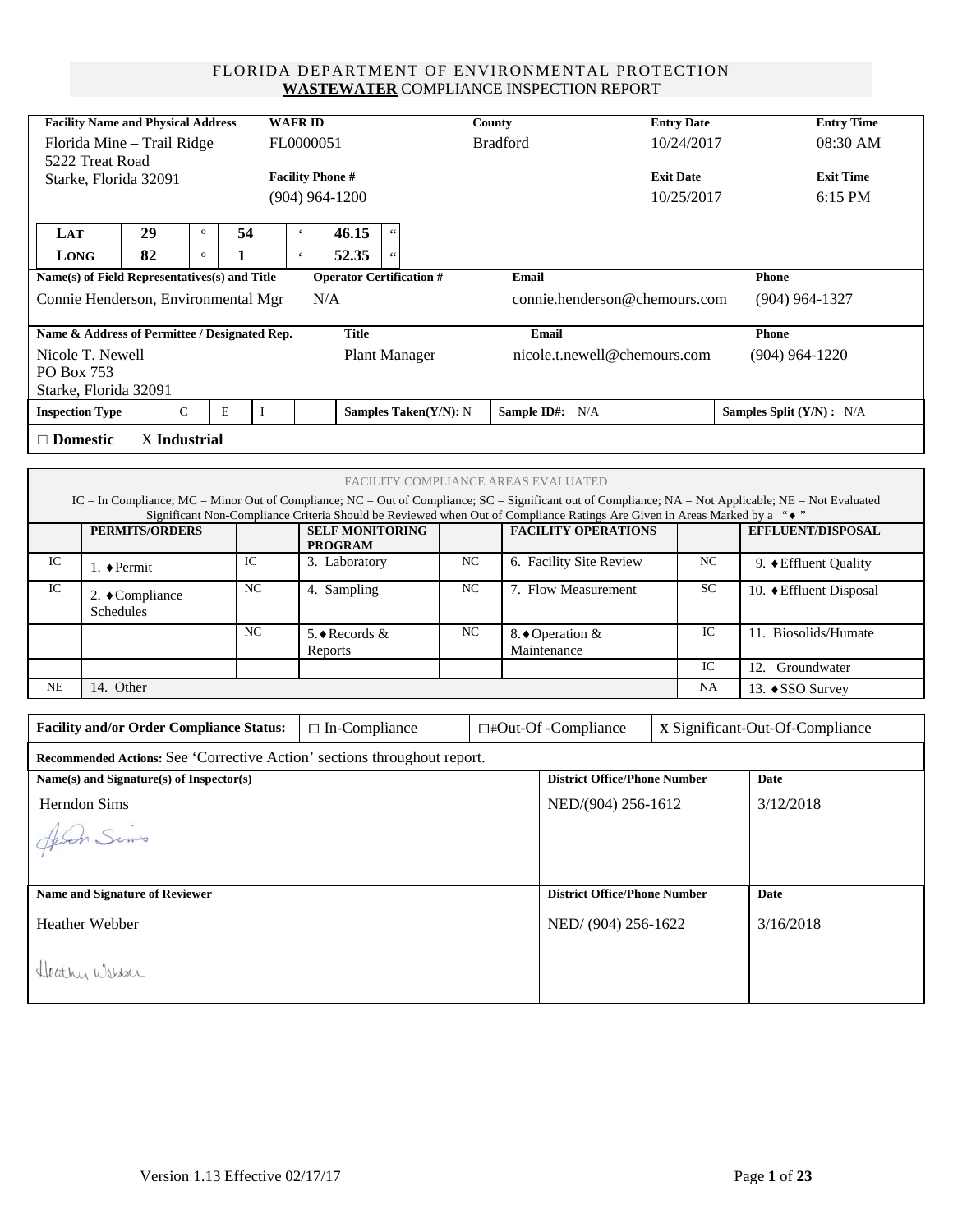#### FLORIDA DEPARTMENT OF ENVIRONMENTAL PROTECTION **WASTEWATER** COMPLIANCE INSPECTION REPORT

| <b>Facility Name and Physical Address</b><br><b>WAFRID</b> |                           |                                                                          |              |    |             |                         |             |                                          |                       |    | County                                |                                                                                                                          | <b>Entry Date</b> |                         | <b>Entry Time</b>                                                                                                                                     |
|------------------------------------------------------------|---------------------------|--------------------------------------------------------------------------|--------------|----|-------------|-------------------------|-------------|------------------------------------------|-----------------------|----|---------------------------------------|--------------------------------------------------------------------------------------------------------------------------|-------------------|-------------------------|-------------------------------------------------------------------------------------------------------------------------------------------------------|
|                                                            |                           | Florida Mine - Trail Ridge                                               |              |    |             | FL0000051               |             |                                          |                       |    | <b>Bradford</b>                       |                                                                                                                          | 10/24/2017        |                         | 08:30 AM                                                                                                                                              |
|                                                            | 5222 Treat Road           |                                                                          |              |    |             |                         |             |                                          |                       |    |                                       |                                                                                                                          |                   |                         |                                                                                                                                                       |
|                                                            |                           | Starke, Florida 32091                                                    |              |    |             | <b>Facility Phone #</b> |             |                                          |                       |    |                                       |                                                                                                                          | <b>Exit Date</b>  |                         | <b>Exit Time</b>                                                                                                                                      |
|                                                            | $(904)$ 964-1200          |                                                                          |              |    |             |                         |             |                                          |                       |    |                                       |                                                                                                                          | 10/25/2017        |                         | 6:15 PM                                                                                                                                               |
| LAT                                                        |                           | 29                                                                       | $\mathbf{o}$ | 54 |             | $\epsilon$              |             | 46.15                                    | $\zeta\,\zeta$        |    |                                       |                                                                                                                          |                   |                         |                                                                                                                                                       |
| LONG                                                       |                           | 82                                                                       | $\mathbf{o}$ | 1  |             | $\mathbf{c}$            |             | 52.35                                    |                       |    |                                       |                                                                                                                          |                   |                         |                                                                                                                                                       |
|                                                            |                           | Name(s) of Field Representatives(s) and Title                            |              |    |             |                         |             | <b>Operator Certification #</b>          |                       |    | <b>Email</b>                          |                                                                                                                          |                   |                         | Phone                                                                                                                                                 |
|                                                            |                           | Connie Henderson, Environmental Mgr                                      |              |    |             |                         | N/A         |                                          |                       |    |                                       | connie.henderson@chemours.com                                                                                            |                   |                         | $(904)$ 964-1327                                                                                                                                      |
|                                                            |                           | Name & Address of Permittee / Designated Rep.                            |              |    |             |                         |             | <b>Title</b>                             |                       |    |                                       | Email                                                                                                                    |                   |                         | Phone                                                                                                                                                 |
| Nicole T. Newell                                           |                           |                                                                          |              |    |             |                         |             |                                          | <b>Plant Manager</b>  |    |                                       | nicole.t.newell@chemours.com                                                                                             |                   |                         | $(904)$ 964-1220                                                                                                                                      |
| PO Box 753                                                 |                           |                                                                          |              |    |             |                         |             |                                          |                       |    |                                       |                                                                                                                          |                   |                         |                                                                                                                                                       |
| <b>Inspection Type</b>                                     |                           | Starke, Florida 32091                                                    | $\mathsf C$  | E  | $\bf{I}$    |                         |             |                                          | Samples Taken(Y/N): N |    |                                       | Sample ID#: N/A                                                                                                          |                   |                         | Samples Split (Y/N) : N/A                                                                                                                             |
|                                                            |                           |                                                                          |              |    |             |                         |             |                                          |                       |    |                                       |                                                                                                                          |                   |                         |                                                                                                                                                       |
| $\Box$ Domestic                                            |                           | X Industrial                                                             |              |    |             |                         |             |                                          |                       |    |                                       |                                                                                                                          |                   |                         |                                                                                                                                                       |
|                                                            |                           |                                                                          |              |    |             |                         |             |                                          |                       |    |                                       |                                                                                                                          |                   |                         |                                                                                                                                                       |
|                                                            |                           |                                                                          |              |    |             |                         |             |                                          |                       |    |                                       | FACILITY COMPLIANCE AREAS EVALUATED                                                                                      |                   |                         | IC = In Compliance; MC = Minor Out of Compliance; NC = Out of Compliance; SC = Significant out of Compliance; NA = Not Applicable; NE = Not Evaluated |
|                                                            |                           |                                                                          |              |    |             |                         |             |                                          |                       |    |                                       | Significant Non-Compliance Criteria Should be Reviewed when Out of Compliance Ratings Are Given in Areas Marked by a "◆" |                   |                         |                                                                                                                                                       |
|                                                            |                           | <b>PERMITS/ORDERS</b>                                                    |              |    |             |                         |             | <b>SELF MONITORING</b><br><b>PROGRAM</b> |                       |    |                                       | <b>FACILITY OPERATIONS</b>                                                                                               |                   |                         | EFFLUENT/DISPOSAL                                                                                                                                     |
| IC                                                         | 1. $\blacklozenge$ Permit |                                                                          |              |    | $_{\rm IC}$ |                         |             | 3. Laboratory                            |                       | NC |                                       | 6. Facility Site Review                                                                                                  |                   | NC                      | 9. $\blacklozenge$ Effluent Quality                                                                                                                   |
| IC                                                         | Schedules                 | 2. ◆ Compliance                                                          |              |    | NC          |                         | 4. Sampling |                                          | NC                    |    | 7. Flow Measurement                   |                                                                                                                          | SC                | 10. ♦ Effluent Disposal |                                                                                                                                                       |
|                                                            |                           |                                                                          |              |    | $_{\rm NC}$ |                         | Reports     | 5. ♦ Records &                           |                       | NC | IC<br>8. ♦ Operation &<br>Maintenance |                                                                                                                          |                   |                         | 11. Biosolids/Humate                                                                                                                                  |
|                                                            |                           |                                                                          |              |    |             |                         |             |                                          |                       |    |                                       |                                                                                                                          |                   | IC                      | 12. Groundwater                                                                                                                                       |
| NE                                                         | 14. Other                 |                                                                          |              |    |             |                         |             |                                          |                       |    |                                       |                                                                                                                          |                   | NA                      | 13. ♦ SSO Survey                                                                                                                                      |
|                                                            |                           |                                                                          |              |    |             |                         |             |                                          |                       |    |                                       |                                                                                                                          |                   |                         |                                                                                                                                                       |
|                                                            |                           | <b>Facility and/or Order Compliance Status:</b>                          |              |    |             |                         |             | $\Box$ In-Compliance                     |                       |    |                                       | □#Out-Of -Compliance                                                                                                     |                   |                         | x Significant-Out-Of-Compliance                                                                                                                       |
|                                                            |                           | Recommended Actions: See 'Corrective Action' sections throughout report. |              |    |             |                         |             |                                          |                       |    |                                       |                                                                                                                          |                   |                         |                                                                                                                                                       |
|                                                            |                           | Name(s) and Signature(s) of Inspector(s)                                 |              |    |             |                         |             |                                          |                       |    |                                       | <b>District Office/Phone Number</b>                                                                                      |                   |                         | Date                                                                                                                                                  |
| Herndon Sims                                               |                           |                                                                          |              |    |             |                         |             |                                          |                       |    |                                       | NED/(904) 256-1612                                                                                                       |                   |                         | 3/12/2018                                                                                                                                             |
| Jeven Sims                                                 |                           |                                                                          |              |    |             |                         |             |                                          |                       |    |                                       |                                                                                                                          |                   |                         |                                                                                                                                                       |
|                                                            |                           |                                                                          |              |    |             |                         |             |                                          |                       |    |                                       |                                                                                                                          |                   |                         |                                                                                                                                                       |
|                                                            |                           |                                                                          |              |    |             |                         |             |                                          |                       |    |                                       |                                                                                                                          |                   |                         |                                                                                                                                                       |
|                                                            |                           | <b>Name and Signature of Reviewer</b>                                    |              |    |             |                         |             |                                          |                       |    |                                       | <b>District Office/Phone Number</b>                                                                                      |                   |                         | <b>Date</b>                                                                                                                                           |
| Heather Webber                                             |                           |                                                                          |              |    |             |                         |             |                                          |                       |    |                                       | NED/(904) 256-1622                                                                                                       |                   |                         | 3/16/2018                                                                                                                                             |
|                                                            |                           |                                                                          |              |    |             |                         |             |                                          |                       |    |                                       |                                                                                                                          |                   |                         |                                                                                                                                                       |
| Heathy Wesser                                              |                           |                                                                          |              |    |             |                         |             |                                          |                       |    |                                       |                                                                                                                          |                   |                         |                                                                                                                                                       |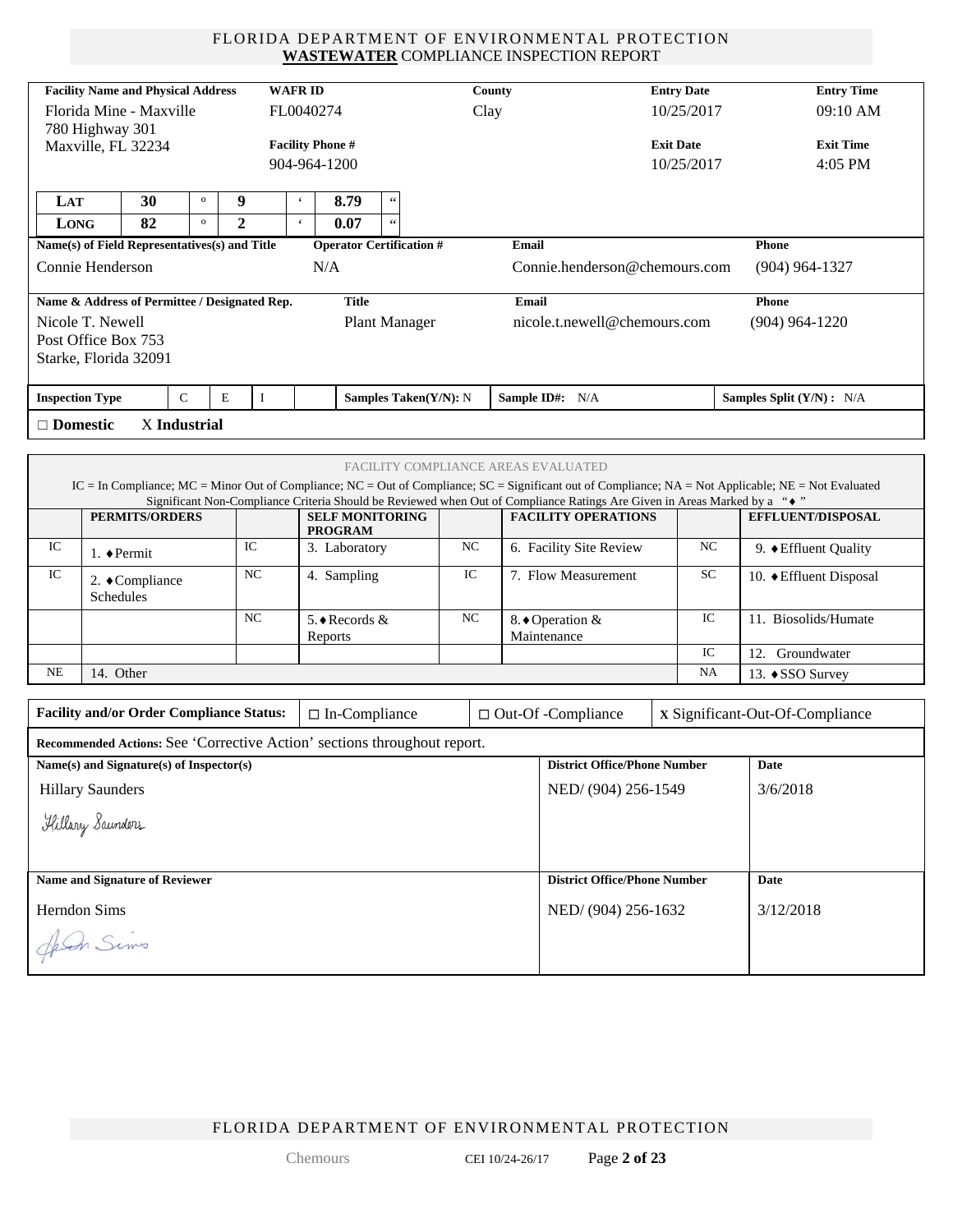#### FLORIDA DEPARTMENT OF ENVIRONMENTAL PROTECTION **WASTEWATER** COMPLIANCE INSPECTION REPORT

|                         |                     | <b>Facility Name and Physical Address</b>       |              |                | <b>WAFRID</b>            |                                                                          |                       |      | County |                                                                                                                          | <b>Entry Date</b> |  | <b>Entry Time</b>                                                                                                                                     |
|-------------------------|---------------------|-------------------------------------------------|--------------|----------------|--------------------------|--------------------------------------------------------------------------|-----------------------|------|--------|--------------------------------------------------------------------------------------------------------------------------|-------------------|--|-------------------------------------------------------------------------------------------------------------------------------------------------------|
|                         |                     | Florida Mine - Maxville                         |              |                | FL0040274                |                                                                          |                       | Clay |        |                                                                                                                          | 10/25/2017        |  | 09:10 AM                                                                                                                                              |
|                         | 780 Highway 301     | Maxville, FL 32234                              |              |                | <b>Facility Phone #</b>  |                                                                          |                       |      |        |                                                                                                                          | <b>Exit Date</b>  |  | <b>Exit Time</b>                                                                                                                                      |
|                         |                     |                                                 |              |                |                          | 904-964-1200                                                             |                       |      |        | 10/25/2017                                                                                                               |                   |  | 4:05 PM                                                                                                                                               |
|                         |                     |                                                 |              |                |                          |                                                                          |                       |      |        |                                                                                                                          |                   |  |                                                                                                                                                       |
| LAT                     |                     | 30                                              | $\mathbf{o}$ | 9              | $\boldsymbol{\varsigma}$ | 8.79                                                                     | $\zeta\,\zeta$        |      |        |                                                                                                                          |                   |  |                                                                                                                                                       |
| <b>LONG</b>             |                     | 82                                              | $\mathbf{o}$ | $\mathbf{2}$   | $\mathbf{c}$             | 0.07                                                                     | $\zeta\,\zeta$        |      |        |                                                                                                                          |                   |  |                                                                                                                                                       |
|                         |                     | Name(s) of Field Representatives(s) and Title   |              |                |                          | <b>Operator Certification #</b>                                          |                       |      | Email  |                                                                                                                          |                   |  | Phone                                                                                                                                                 |
| Connie Henderson        |                     |                                                 |              |                |                          | N/A                                                                      |                       |      |        | Connie.henderson@chemours.com                                                                                            |                   |  | $(904)$ 964-1327                                                                                                                                      |
|                         |                     | Name & Address of Permittee / Designated Rep.   |              |                |                          | <b>Title</b>                                                             |                       |      | Email  |                                                                                                                          |                   |  | Phone                                                                                                                                                 |
| Nicole T. Newell        |                     |                                                 |              |                |                          |                                                                          | <b>Plant Manager</b>  |      |        | nicole.t.newell@chemours.com                                                                                             |                   |  | $(904)$ 964-1220                                                                                                                                      |
| Post Office Box 753     |                     |                                                 |              |                |                          |                                                                          |                       |      |        |                                                                                                                          |                   |  |                                                                                                                                                       |
|                         |                     | Starke, Florida 32091                           |              |                |                          |                                                                          |                       |      |        |                                                                                                                          |                   |  |                                                                                                                                                       |
| <b>Inspection Type</b>  |                     | $\mathsf{C}$                                    | E            | $\mathbf{I}$   |                          |                                                                          | Samples Taken(Y/N): N |      |        | Sample ID#: N/A                                                                                                          |                   |  | Samples Split (Y/N) : N/A                                                                                                                             |
| $\Box$ Domestic         |                     | X Industrial                                    |              |                |                          |                                                                          |                       |      |        |                                                                                                                          |                   |  |                                                                                                                                                       |
|                         |                     |                                                 |              |                |                          |                                                                          |                       |      |        |                                                                                                                          |                   |  |                                                                                                                                                       |
|                         |                     |                                                 |              |                |                          |                                                                          |                       |      |        | FACILITY COMPLIANCE AREAS EVALUATED                                                                                      |                   |  |                                                                                                                                                       |
|                         |                     |                                                 |              |                |                          |                                                                          |                       |      |        | Significant Non-Compliance Criteria Should be Reviewed when Out of Compliance Ratings Are Given in Areas Marked by a "◆" |                   |  | IC = In Compliance; MC = Minor Out of Compliance; NC = Out of Compliance; SC = Significant out of Compliance; NA = Not Applicable; NE = Not Evaluated |
|                         |                     | <b>PERMITS/ORDERS</b>                           |              |                |                          | <b>SELF MONITORING</b>                                                   |                       |      |        | <b>FACILITY OPERATIONS</b>                                                                                               |                   |  | EFFLUENT/DISPOSAL                                                                                                                                     |
| IC                      |                     |                                                 |              | IC             |                          | <b>PROGRAM</b>                                                           |                       | NC   |        | 6. Facility Site Review                                                                                                  | NC                |  |                                                                                                                                                       |
|                         | 1. $\bullet$ Permit |                                                 |              |                |                          | 3. Laboratory                                                            |                       |      |        |                                                                                                                          |                   |  | 9. ♦ Effluent Quality                                                                                                                                 |
| IC                      | <b>Schedules</b>    | 2. ◆Compliance                                  |              | <b>NC</b>      |                          | 4. Sampling                                                              |                       | IC   |        | 7. Flow Measurement                                                                                                      | SC                |  | 10. ♦ Effluent Disposal                                                                                                                               |
|                         |                     |                                                 |              | N <sub>C</sub> |                          | 5. ♦ Records &                                                           |                       | NC   |        | 8. ♦ Operation &                                                                                                         | $_{\rm IC}$       |  | 11. Biosolids/Humate                                                                                                                                  |
|                         |                     |                                                 |              |                |                          | Reports                                                                  |                       |      |        | Maintenance                                                                                                              | $_{\rm IC}$       |  | 12. Groundwater                                                                                                                                       |
| NE                      | 14. Other           |                                                 |              |                |                          |                                                                          |                       |      |        |                                                                                                                          | NA                |  |                                                                                                                                                       |
|                         |                     |                                                 |              |                |                          |                                                                          |                       |      |        |                                                                                                                          |                   |  | 13. ♦ SSO Survey                                                                                                                                      |
|                         |                     | <b>Facility and/or Order Compliance Status:</b> |              |                |                          | $\Box$ In-Compliance                                                     |                       |      |        | $\Box$ Out-Of -Compliance                                                                                                |                   |  | x Significant-Out-Of-Compliance                                                                                                                       |
|                         |                     |                                                 |              |                |                          | Recommended Actions: See 'Corrective Action' sections throughout report. |                       |      |        |                                                                                                                          |                   |  |                                                                                                                                                       |
|                         |                     | Name(s) and Signature(s) of Inspector(s)        |              |                |                          |                                                                          |                       |      |        | <b>District Office/Phone Number</b>                                                                                      |                   |  | Date                                                                                                                                                  |
| <b>Hillary Saunders</b> |                     |                                                 |              |                |                          |                                                                          |                       |      |        | NED/ (904) 256-1549                                                                                                      |                   |  | 3/6/2018                                                                                                                                              |
|                         | Hillary Saunders    |                                                 |              |                |                          |                                                                          |                       |      |        |                                                                                                                          |                   |  |                                                                                                                                                       |
|                         |                     |                                                 |              |                |                          |                                                                          |                       |      |        |                                                                                                                          |                   |  |                                                                                                                                                       |
|                         |                     | Name and Signature of Reviewer                  |              |                |                          |                                                                          |                       |      |        | <b>District Office/Phone Number</b>                                                                                      |                   |  | Date                                                                                                                                                  |
| Herndon Sims            |                     |                                                 |              |                |                          |                                                                          |                       |      |        | NED/ (904) 256-1632                                                                                                      |                   |  | 3/12/2018                                                                                                                                             |
| Jeven Sims              |                     |                                                 |              |                |                          |                                                                          |                       |      |        |                                                                                                                          |                   |  |                                                                                                                                                       |

FLORIDA DEPARTMENT OF ENVIRONMENTAL PROTECTION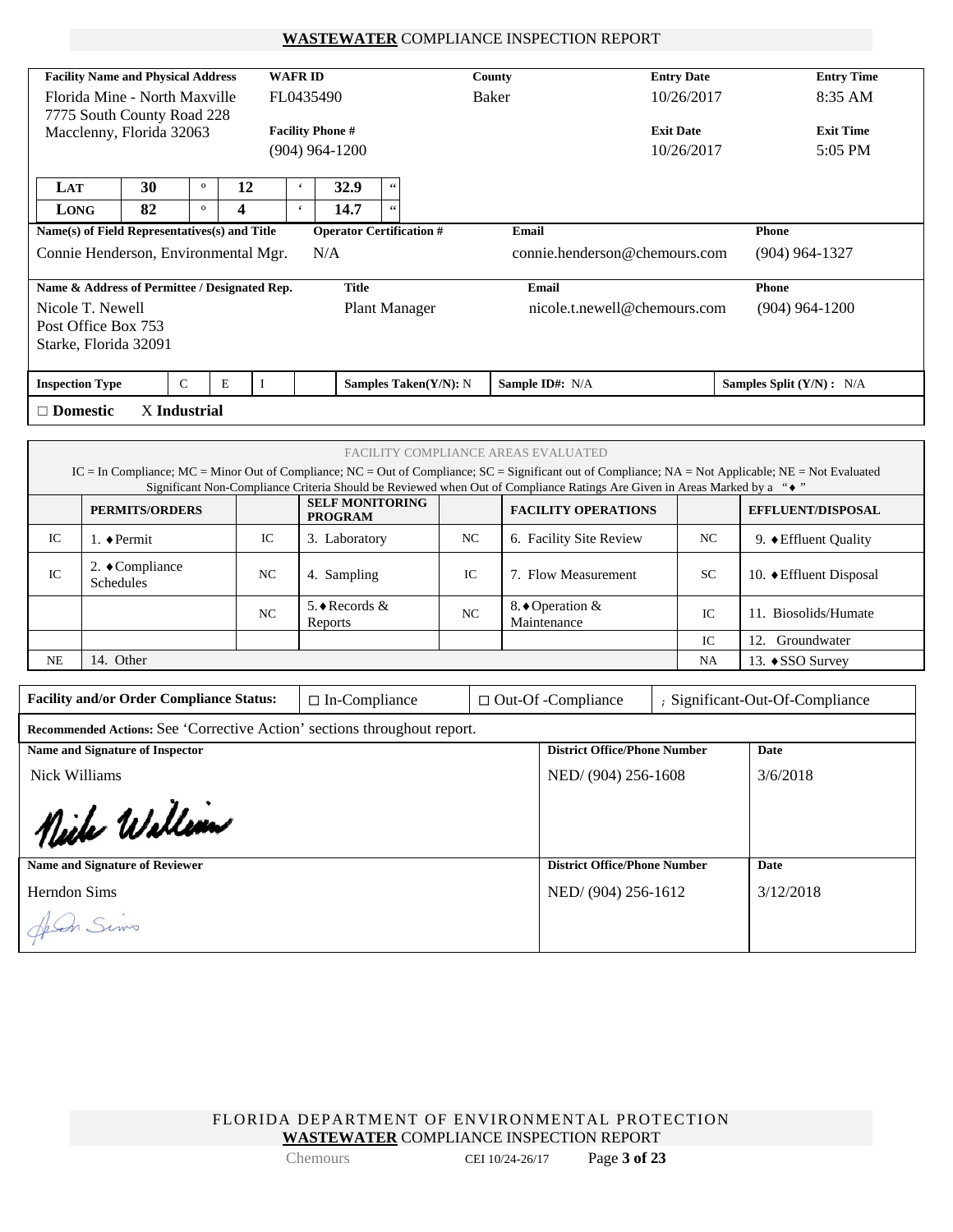#### **WASTEWATER** COMPLIANCE INSPECTION REPORT

| <b>Facility Name and Physical Address</b>     |                                            |              |    |  | <b>WAFRID</b> |                         |                                 | County                                     | <b>Entry Date</b> | <b>Entry Time</b>           |  |
|-----------------------------------------------|--------------------------------------------|--------------|----|--|---------------|-------------------------|---------------------------------|--------------------------------------------|-------------------|-----------------------------|--|
|                                               | Florida Mine - North Maxville<br>FL0435490 |              |    |  |               |                         |                                 | Baker                                      | 10/26/2017        | 8:35 AM                     |  |
| 7775 South County Road 228                    |                                            |              |    |  |               |                         |                                 |                                            |                   |                             |  |
| Macclenny, Florida 32063                      |                                            |              |    |  |               | <b>Facility Phone #</b> |                                 |                                            | <b>Exit Date</b>  | <b>Exit Time</b>            |  |
|                                               |                                            |              |    |  |               | $(904)$ 964-1200        |                                 |                                            | 10/26/2017        | 5:05 PM                     |  |
|                                               |                                            |              |    |  |               |                         |                                 |                                            |                   |                             |  |
| LAT                                           | 30                                         | $\mathbf{o}$ | 12 |  | $\epsilon$    | 32.9                    | 66                              |                                            |                   |                             |  |
| LONG                                          | 82                                         | $\mathbf{o}$ | 4  |  | $\epsilon$    | 14.7                    | 66                              |                                            |                   |                             |  |
| Name(s) of Field Representatives(s) and Title |                                            |              |    |  |               |                         | <b>Operator Certification #</b> | Email                                      |                   | <b>Phone</b>                |  |
| Connie Henderson, Environmental Mgr.          |                                            |              |    |  |               | N/A                     |                                 | connie.henderson@chemours.com              |                   | $(904)$ 964-1327            |  |
|                                               |                                            |              |    |  |               |                         |                                 |                                            |                   |                             |  |
| Name & Address of Permittee / Designated Rep. |                                            |              |    |  |               | <b>Title</b>            |                                 | Email                                      |                   | Phone                       |  |
|                                               |                                            |              |    |  |               |                         | <b>Plant Manager</b>            | nicole.t.newell@chemours.com               | $(904)$ 964-1200  |                             |  |
| Nicole T. Newell                              |                                            |              |    |  |               |                         |                                 |                                            |                   |                             |  |
| Post Office Box 753                           |                                            |              |    |  |               |                         |                                 |                                            |                   |                             |  |
|                                               |                                            |              |    |  |               |                         |                                 |                                            |                   |                             |  |
| Starke, Florida 32091                         |                                            |              |    |  |               |                         |                                 |                                            |                   |                             |  |
| <b>Inspection Type</b>                        |                                            | $\mathsf{C}$ | E  |  |               |                         | Samples Taken(Y/N): N           | Sample ID#: N/A                            |                   | Samples Split $(Y/N)$ : N/A |  |
| $\Box$ Domestic                               |                                            | X Industrial |    |  |               |                         |                                 |                                            |                   |                             |  |
|                                               |                                            |              |    |  |               |                         |                                 |                                            |                   |                             |  |
|                                               |                                            |              |    |  |               |                         |                                 | <b>FACILITY COMPLIANCE AREAS EVALUATED</b> |                   |                             |  |

|    | IC = In Compliance; MC = Minor Out of Compliance; NC = Out of Compliance; SC = Significant out of Compliance; NA = Not Applicable; NE = Not Evaluated<br>Significant Non-Compliance Criteria Should be Reviewed when Out of Compliance Ratings Are Given in Areas Marked by a "♦" |                 |                                          |    |                                               |           |                                       |  |  |  |
|----|-----------------------------------------------------------------------------------------------------------------------------------------------------------------------------------------------------------------------------------------------------------------------------------|-----------------|------------------------------------------|----|-----------------------------------------------|-----------|---------------------------------------|--|--|--|
|    | <b>PERMITS/ORDERS</b>                                                                                                                                                                                                                                                             |                 | <b>SELF MONITORING</b><br><b>PROGRAM</b> |    | <b>FACILITY OPERATIONS</b>                    |           | <b>EFFLUENT/DISPOSAL</b>              |  |  |  |
| IC | 1. ◆Permit                                                                                                                                                                                                                                                                        | IC              | 3. Laboratory                            | NC | 6. Facility Site Review                       | NC        | 9. $\blacklozenge$ Effluent Quality   |  |  |  |
| IC | 2. $\bullet$ Compliance<br><b>Schedules</b>                                                                                                                                                                                                                                       | NC              | 4. Sampling                              | IC | 7. Flow Measurement                           | <b>SC</b> | 10. $\blacklozenge$ Effluent Disposal |  |  |  |
|    |                                                                                                                                                                                                                                                                                   | NC <sub>1</sub> | 5. ♦ Records $&$<br>Reports              | NC | 8. $\blacklozenge$ Operation &<br>Maintenance | IC.       | 11. Biosolids/Humate                  |  |  |  |
|    |                                                                                                                                                                                                                                                                                   |                 |                                          |    |                                               | IC        | 12.<br>Groundwater                    |  |  |  |
| NE | 14. Other<br><b>NA</b><br>13. $\triangle$ SSO Survey                                                                                                                                                                                                                              |                 |                                          |    |                                               |           |                                       |  |  |  |

| <b>Facility and/or Order Compliance Status:</b> | $\Box$ In-Compliance | $\Box$ Out-Of-Compliance | ; Significant-Out-Of-Compliance |
|-------------------------------------------------|----------------------|--------------------------|---------------------------------|
|                                                 |                      |                          |                                 |

| Recommended Actions: See 'Corrective Action' sections throughout report. |                                     |           |  |  |  |  |  |  |
|--------------------------------------------------------------------------|-------------------------------------|-----------|--|--|--|--|--|--|
| Name and Signature of Inspector                                          | <b>District Office/Phone Number</b> | Date      |  |  |  |  |  |  |
| Nick Williams                                                            | NED/(904) 256-1608                  | 3/6/2018  |  |  |  |  |  |  |
| Niche Walliam                                                            |                                     |           |  |  |  |  |  |  |
| <b>Name and Signature of Reviewer</b>                                    | <b>District Office/Phone Number</b> | Date      |  |  |  |  |  |  |
| Herndon Sims                                                             | NED/(904) 256-1612                  | 3/12/2018 |  |  |  |  |  |  |
| Jeven Sims                                                               |                                     |           |  |  |  |  |  |  |

FLORIDA DEPARTMENT OF ENVIRONMENTAL PROTECTION **WASTEWATER** COMPLIANCE INSPECTION REPORT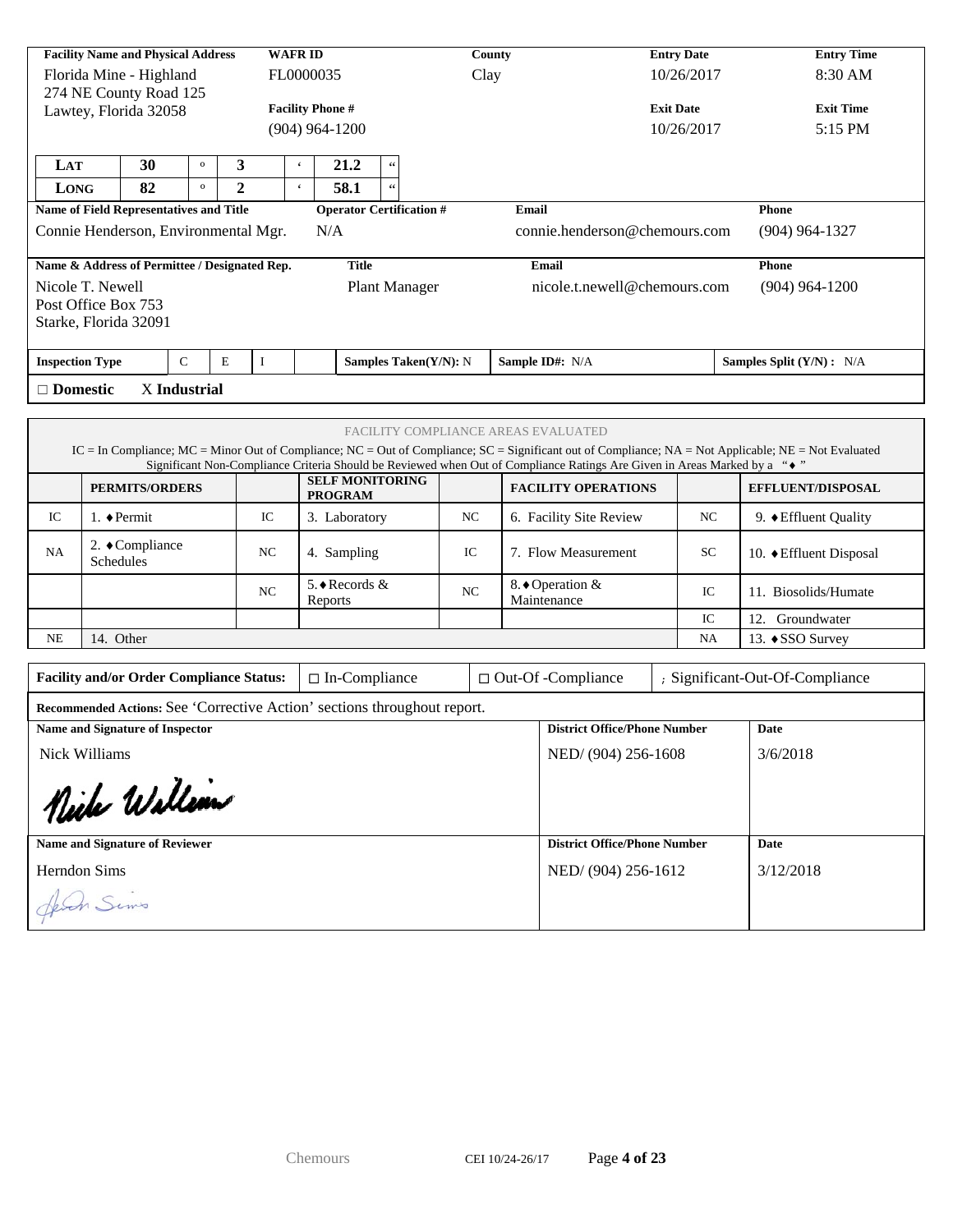|                        |                                      | <b>Facility Name and Physical Address</b>      |              |              |          | <b>WAFRID</b>            |                                          |                       | County                                                                                                                                                | <b>Entry Date</b> |              | <b>Entry Time</b>         |
|------------------------|--------------------------------------|------------------------------------------------|--------------|--------------|----------|--------------------------|------------------------------------------|-----------------------|-------------------------------------------------------------------------------------------------------------------------------------------------------|-------------------|--------------|---------------------------|
|                        |                                      | Florida Mine - Highland                        |              |              |          | FL0000035                |                                          |                       | Clay                                                                                                                                                  | 10/26/2017        |              | 8:30 AM                   |
| 274 NE County Road 125 |                                      |                                                |              |              |          |                          |                                          |                       |                                                                                                                                                       |                   |              |                           |
| Lawtey, Florida 32058  |                                      |                                                |              |              |          |                          | <b>Facility Phone #</b>                  |                       |                                                                                                                                                       | <b>Exit Date</b>  |              | <b>Exit Time</b>          |
|                        |                                      |                                                |              |              |          |                          | (904) 964-1200                           |                       |                                                                                                                                                       | 10/26/2017        |              | $5:15$ PM                 |
|                        |                                      |                                                |              |              |          |                          |                                          |                       |                                                                                                                                                       |                   |              |                           |
| LAT                    |                                      | 30                                             | $\mathbf{o}$ | 3            |          | $\boldsymbol{\varsigma}$ | 21.2                                     |                       |                                                                                                                                                       |                   |              |                           |
| <b>LONG</b>            |                                      | 82                                             | $\mathbf{o}$ | $\mathbf{2}$ |          | $\epsilon$               | 58.1                                     |                       |                                                                                                                                                       |                   |              |                           |
|                        |                                      | <b>Name of Field Representatives and Title</b> |              |              |          |                          | <b>Operator Certification #</b>          |                       | Email                                                                                                                                                 |                   | <b>Phone</b> |                           |
|                        | Connie Henderson, Environmental Mgr. |                                                |              |              |          |                          | N/A                                      |                       | connie.henderson@chemours.com                                                                                                                         |                   |              | $(904)$ 964-1327          |
|                        |                                      | Name & Address of Permittee / Designated Rep.  |              |              |          |                          | <b>Title</b>                             |                       | Email                                                                                                                                                 |                   | <b>Phone</b> |                           |
| Nicole T. Newell       |                                      |                                                |              |              |          |                          | <b>Plant Manager</b>                     |                       | nicole.t.newell@chemours.com                                                                                                                          |                   |              | $(904)$ 964-1200          |
| Post Office Box 753    |                                      |                                                |              |              |          |                          |                                          |                       |                                                                                                                                                       |                   |              |                           |
|                        |                                      | Starke, Florida 32091                          |              |              |          |                          |                                          |                       |                                                                                                                                                       |                   |              |                           |
|                        |                                      |                                                |              |              |          |                          |                                          |                       |                                                                                                                                                       |                   |              |                           |
| <b>Inspection Type</b> |                                      |                                                | $\mathsf{C}$ | E            | $\bf{I}$ |                          |                                          | Samples Taken(Y/N): N | Sample ID#: N/A                                                                                                                                       |                   |              | Samples Split (Y/N) : N/A |
| $\Box$ Domestic        |                                      |                                                | X Industrial |              |          |                          |                                          |                       |                                                                                                                                                       |                   |              |                           |
|                        |                                      |                                                |              |              |          |                          |                                          |                       |                                                                                                                                                       |                   |              |                           |
|                        |                                      |                                                |              |              |          |                          |                                          |                       | FACILITY COMPLIANCE AREAS EVALUATED                                                                                                                   |                   |              |                           |
|                        |                                      |                                                |              |              |          |                          |                                          |                       | IC = In Compliance; MC = Minor Out of Compliance; NC = Out of Compliance; SC = Significant out of Compliance; NA = Not Applicable; NE = Not Evaluated |                   |              |                           |
|                        |                                      |                                                |              |              |          |                          |                                          |                       | Significant Non-Compliance Criteria Should be Reviewed when Out of Compliance Ratings Are Given in Areas Marked by a " $\bullet$ "                    |                   |              |                           |
|                        |                                      | <b>PERMITS/ORDERS</b>                          |              |              |          |                          | <b>SELF MONITORING</b><br><b>PROGRAM</b> |                       | <b>FACILITY OPERATIONS</b>                                                                                                                            |                   |              | <b>EFFLUENT/DISPOSAL</b>  |

|           |                                             |                | 1 KUUKANI                 |                |                                 |           |                                             |
|-----------|---------------------------------------------|----------------|---------------------------|----------------|---------------------------------|-----------|---------------------------------------------|
| IC        | $\rightarrow$ Permit                        | IC             | Laboratory                | NC             | 6. Facility Site Review         | NC        | 9. $\blacklozenge$ Effluent Quality         |
| NA        | 2. $\bullet$ Compliance<br><b>Schedules</b> | N <sub>C</sub> | 4. Sampling               | IC             | 7. Flow Measurement             | <b>SC</b> | 10. $\blacktriangleright$ Effluent Disposal |
|           |                                             | N <sub>C</sub> | 5. ♦ Records &<br>Reports | N <sub>C</sub> | 8. ♦ Operation &<br>Maintenance | IC        | 11. Biosolids/Humate                        |
|           |                                             |                |                           |                |                                 | IC        | 12.<br>Groundwater                          |
| <b>NE</b> | 14. Other                                   |                |                           |                |                                 | NA        | 13. $\triangle$ SSO Survey                  |

| <b>Facility and/or Order Compliance Status:</b>                                 | $\Box$ In-Compliance |  | $\Box$ Out-Of -Compliance           |  | ; Significant-Out-Of-Compliance |  |  |  |  |  |  |
|---------------------------------------------------------------------------------|----------------------|--|-------------------------------------|--|---------------------------------|--|--|--|--|--|--|
| <b>Recommended Actions:</b> See 'Corrective Action' sections throughout report. |                      |  |                                     |  |                                 |  |  |  |  |  |  |
| <b>Name and Signature of Inspector</b>                                          |                      |  | <b>District Office/Phone Number</b> |  | Date                            |  |  |  |  |  |  |
| Nick Williams                                                                   |                      |  | NED/(904) 256-1608                  |  | 3/6/2018                        |  |  |  |  |  |  |
| Nich Wallian                                                                    |                      |  |                                     |  |                                 |  |  |  |  |  |  |
| <b>Name and Signature of Reviewer</b>                                           |                      |  | <b>District Office/Phone Number</b> |  | Date                            |  |  |  |  |  |  |
| Herndon Sims                                                                    |                      |  | NED/(904) 256-1612                  |  | 3/12/2018                       |  |  |  |  |  |  |
| Jeven Sims                                                                      |                      |  |                                     |  |                                 |  |  |  |  |  |  |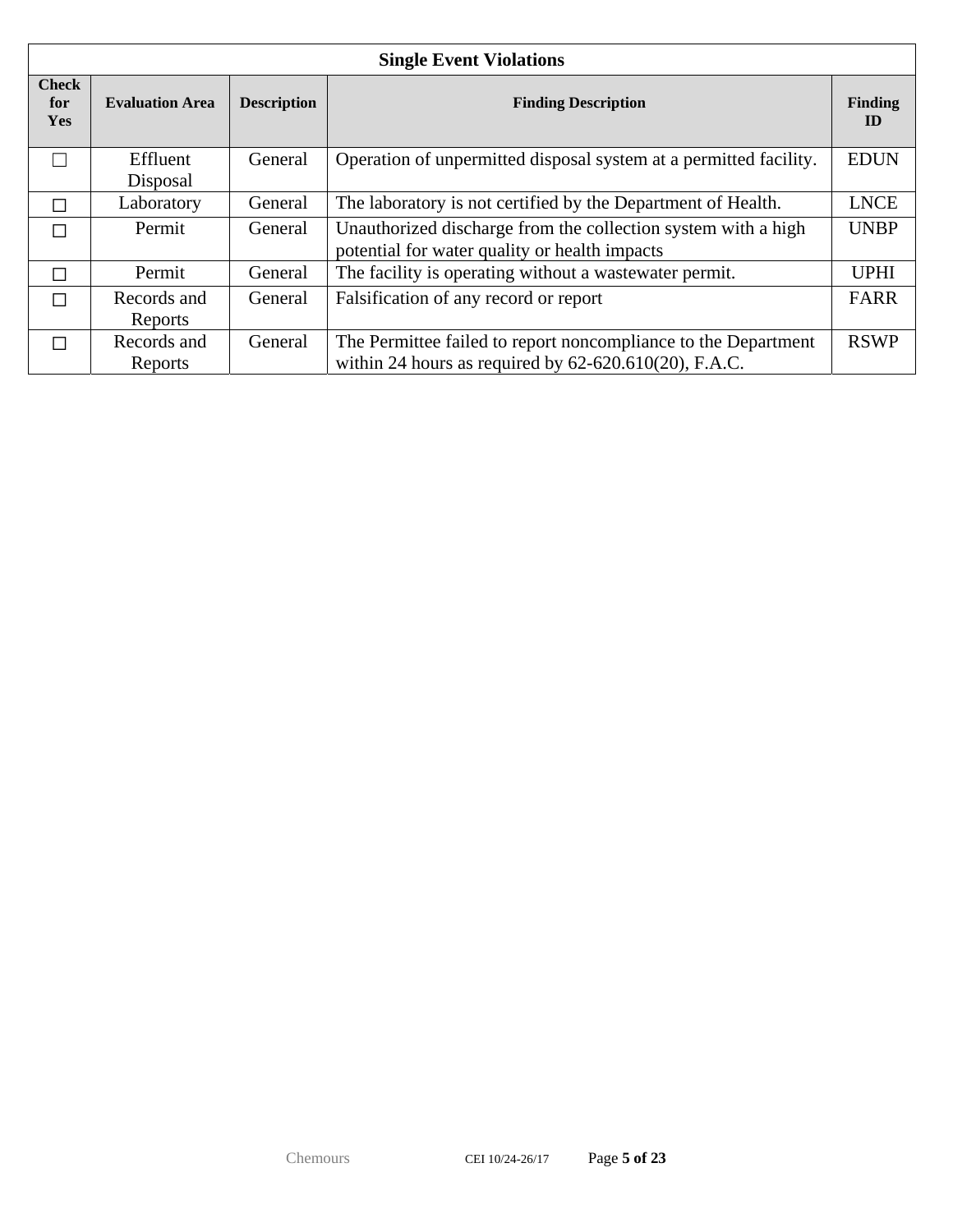|                                   | <b>Single Event Violations</b> |                    |                                                                                                                            |                      |  |  |  |  |  |  |  |
|-----------------------------------|--------------------------------|--------------------|----------------------------------------------------------------------------------------------------------------------------|----------------------|--|--|--|--|--|--|--|
| <b>Check</b><br>for<br><b>Yes</b> | <b>Evaluation Area</b>         | <b>Description</b> | <b>Finding Description</b>                                                                                                 | <b>Finding</b><br>ID |  |  |  |  |  |  |  |
|                                   | Effluent<br>Disposal           | General            | Operation of unpermitted disposal system at a permitted facility.                                                          | <b>EDUN</b>          |  |  |  |  |  |  |  |
| ┌                                 | Laboratory                     | General            | The laboratory is not certified by the Department of Health.                                                               | <b>LNCE</b>          |  |  |  |  |  |  |  |
| П                                 | Permit                         | General            | Unauthorized discharge from the collection system with a high<br>potential for water quality or health impacts             | <b>UNBP</b>          |  |  |  |  |  |  |  |
| П                                 | Permit                         | General            | The facility is operating without a wastewater permit.                                                                     | <b>UPHI</b>          |  |  |  |  |  |  |  |
| П                                 | Records and<br>Reports         | General            | Falsification of any record or report                                                                                      | <b>FARR</b>          |  |  |  |  |  |  |  |
| П                                 | Records and<br>Reports         | General            | The Permittee failed to report noncompliance to the Department<br>within 24 hours as required by $62-620.610(20)$ , F.A.C. | <b>RSWP</b>          |  |  |  |  |  |  |  |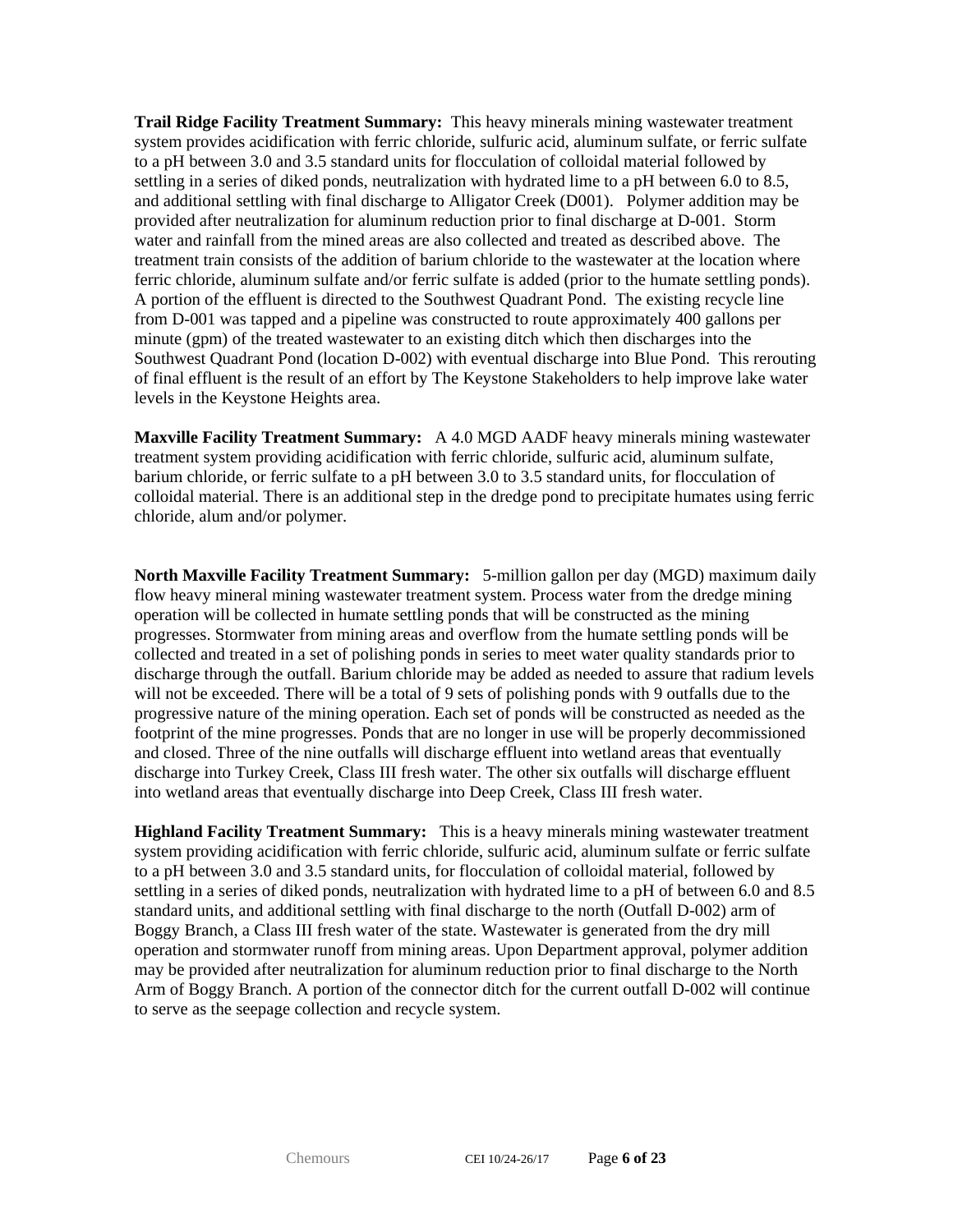**Trail Ridge Facility Treatment Summary:** This heavy minerals mining wastewater treatment system provides acidification with ferric chloride, sulfuric acid, aluminum sulfate, or ferric sulfate to a pH between 3.0 and 3.5 standard units for flocculation of colloidal material followed by settling in a series of diked ponds, neutralization with hydrated lime to a pH between 6.0 to 8.5, and additional settling with final discharge to Alligator Creek (D001). Polymer addition may be provided after neutralization for aluminum reduction prior to final discharge at D-001. Storm water and rainfall from the mined areas are also collected and treated as described above. The treatment train consists of the addition of barium chloride to the wastewater at the location where ferric chloride, aluminum sulfate and/or ferric sulfate is added (prior to the humate settling ponds). A portion of the effluent is directed to the Southwest Quadrant Pond. The existing recycle line from D-001 was tapped and a pipeline was constructed to route approximately 400 gallons per minute (gpm) of the treated wastewater to an existing ditch which then discharges into the Southwest Quadrant Pond (location D-002) with eventual discharge into Blue Pond. This rerouting of final effluent is the result of an effort by The Keystone Stakeholders to help improve lake water levels in the Keystone Heights area.

**Maxville Facility Treatment Summary:** A 4.0 MGD AADF heavy minerals mining wastewater treatment system providing acidification with ferric chloride, sulfuric acid, aluminum sulfate, barium chloride, or ferric sulfate to a pH between 3.0 to 3.5 standard units, for flocculation of colloidal material. There is an additional step in the dredge pond to precipitate humates using ferric chloride, alum and/or polymer.

**North Maxville Facility Treatment Summary:** 5-million gallon per day (MGD) maximum daily flow heavy mineral mining wastewater treatment system. Process water from the dredge mining operation will be collected in humate settling ponds that will be constructed as the mining progresses. Stormwater from mining areas and overflow from the humate settling ponds will be collected and treated in a set of polishing ponds in series to meet water quality standards prior to discharge through the outfall. Barium chloride may be added as needed to assure that radium levels will not be exceeded. There will be a total of 9 sets of polishing ponds with 9 outfalls due to the progressive nature of the mining operation. Each set of ponds will be constructed as needed as the footprint of the mine progresses. Ponds that are no longer in use will be properly decommissioned and closed. Three of the nine outfalls will discharge effluent into wetland areas that eventually discharge into Turkey Creek, Class III fresh water. The other six outfalls will discharge effluent into wetland areas that eventually discharge into Deep Creek, Class III fresh water.

**Highland Facility Treatment Summary:** This is a heavy minerals mining wastewater treatment system providing acidification with ferric chloride, sulfuric acid, aluminum sulfate or ferric sulfate to a pH between 3.0 and 3.5 standard units, for flocculation of colloidal material, followed by settling in a series of diked ponds, neutralization with hydrated lime to a pH of between 6.0 and 8.5 standard units, and additional settling with final discharge to the north (Outfall D-002) arm of Boggy Branch, a Class III fresh water of the state. Wastewater is generated from the dry mill operation and stormwater runoff from mining areas. Upon Department approval, polymer addition may be provided after neutralization for aluminum reduction prior to final discharge to the North Arm of Boggy Branch. A portion of the connector ditch for the current outfall D-002 will continue to serve as the seepage collection and recycle system.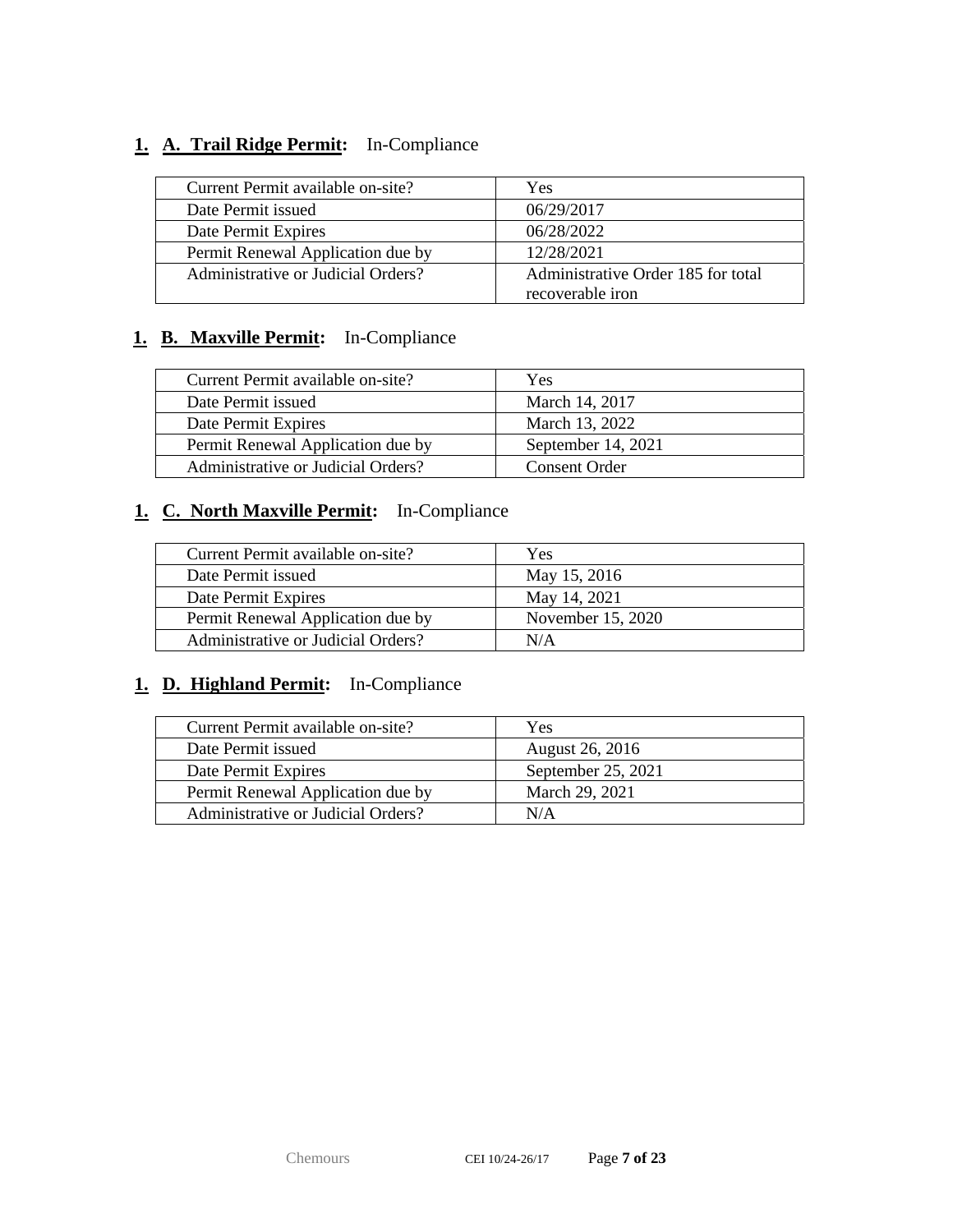## **1. A. Trail Ridge Permit:** In-Compliance

| Current Permit available on-site?  | Yes                                                    |
|------------------------------------|--------------------------------------------------------|
| Date Permit issued                 | 06/29/2017                                             |
| Date Permit Expires                | 06/28/2022                                             |
| Permit Renewal Application due by  | 12/28/2021                                             |
| Administrative or Judicial Orders? | Administrative Order 185 for total<br>recoverable iron |

## **1. B. Maxville Permit:** In-Compliance

| Current Permit available on-site?  | Yes                |
|------------------------------------|--------------------|
| Date Permit issued                 | March 14, 2017     |
| Date Permit Expires                | March 13, 2022     |
| Permit Renewal Application due by  | September 14, 2021 |
| Administrative or Judicial Orders? | Consent Order      |

## **1. C. North Maxville Permit:** In-Compliance

| Current Permit available on-site?  | Yes               |
|------------------------------------|-------------------|
| Date Permit issued                 | May 15, 2016      |
| Date Permit Expires                | May 14, 2021      |
| Permit Renewal Application due by  | November 15, 2020 |
| Administrative or Judicial Orders? | N/A               |

## **1. D. Highland Permit:** In-Compliance

| Current Permit available on-site?  | Yes                |
|------------------------------------|--------------------|
| Date Permit issued                 | August 26, 2016    |
| Date Permit Expires                | September 25, 2021 |
| Permit Renewal Application due by  | March 29, 2021     |
| Administrative or Judicial Orders? | N/A                |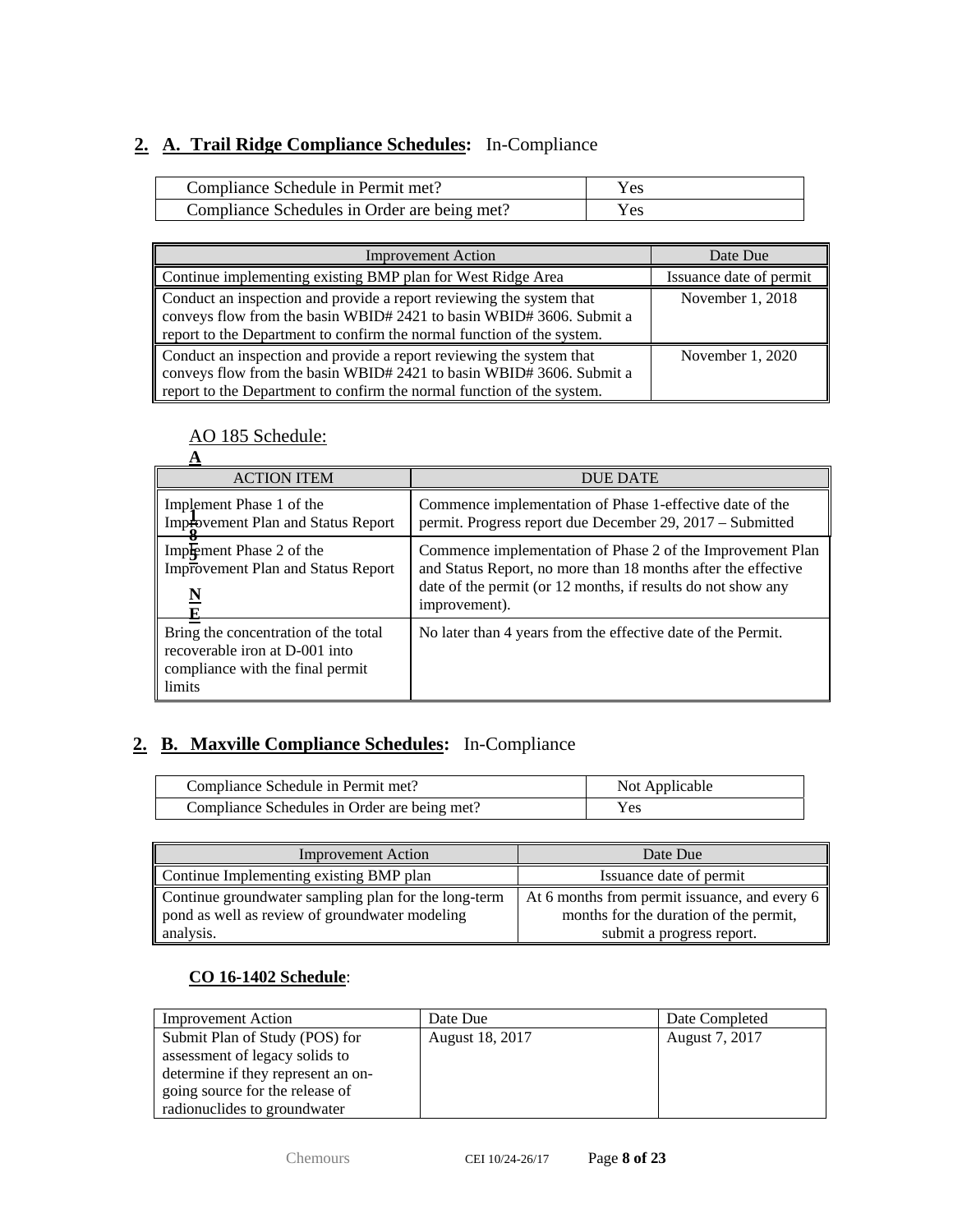## **2. A. Trail Ridge Compliance Schedules:** In-Compliance

| Compliance Schedule in Permit met?           | Yes |
|----------------------------------------------|-----|
| Compliance Schedules in Order are being met? | Yes |

| <b>Improvement Action</b>                                                                                                                    | Date Due                |
|----------------------------------------------------------------------------------------------------------------------------------------------|-------------------------|
| Continue implementing existing BMP plan for West Ridge Area                                                                                  | Issuance date of permit |
| Conduct an inspection and provide a report reviewing the system that<br>conveys flow from the basin WBID# 2421 to basin WBID# 3606. Submit a | November 1, 2018        |
| report to the Department to confirm the normal function of the system.                                                                       |                         |
| Conduct an inspection and provide a report reviewing the system that<br>conveys flow from the basin WBID# 2421 to basin WBID# 3606. Submit a | November 1, 2020        |
| report to the Department to confirm the normal function of the system.                                                                       |                         |

## AO 185 Schedule:

| <b>ACTION ITEM</b>                                                                                                   | <b>DUE DATE</b>                                                                                                                                                                                              |
|----------------------------------------------------------------------------------------------------------------------|--------------------------------------------------------------------------------------------------------------------------------------------------------------------------------------------------------------|
| Implement Phase 1 of the<br>Improvement Plan and Status Report                                                       | Commence implementation of Phase 1-effective date of the<br>permit. Progress report due December 29, 2017 – Submitted                                                                                        |
| Implement Phase 2 of the<br>Improvement Plan and Status Report<br>$\underline{\mathbf{N}}$                           | Commence implementation of Phase 2 of the Improvement Plan<br>and Status Report, no more than 18 months after the effective<br>date of the permit (or 12 months, if results do not show any<br>improvement). |
| Bring the concentration of the total<br>recoverable iron at D-001 into<br>compliance with the final permit<br>limits | No later than 4 years from the effective date of the Permit.                                                                                                                                                 |

## **2. B. Maxville Compliance Schedules:** In-Compliance

| Compliance Schedule in Permit met?           | Not Applicable |
|----------------------------------------------|----------------|
| Compliance Schedules in Order are being met? | Yes            |

| <b>Improvement Action</b>                            | Date Due                                      |
|------------------------------------------------------|-----------------------------------------------|
| Continue Implementing existing BMP plan              | Issuance date of permit                       |
| Continue groundwater sampling plan for the long-term | At 6 months from permit issuance, and every 6 |
| pond as well as review of groundwater modeling       | months for the duration of the permit,        |
| analysis.                                            | submit a progress report.                     |

#### **CO 16-1402 Schedule**:

| <b>Improvement Action</b>          | Date Due        | Date Completed |
|------------------------------------|-----------------|----------------|
| Submit Plan of Study (POS) for     | August 18, 2017 | August 7, 2017 |
| assessment of legacy solids to     |                 |                |
| determine if they represent an on- |                 |                |
| going source for the release of    |                 |                |
| radionuclides to groundwater       |                 |                |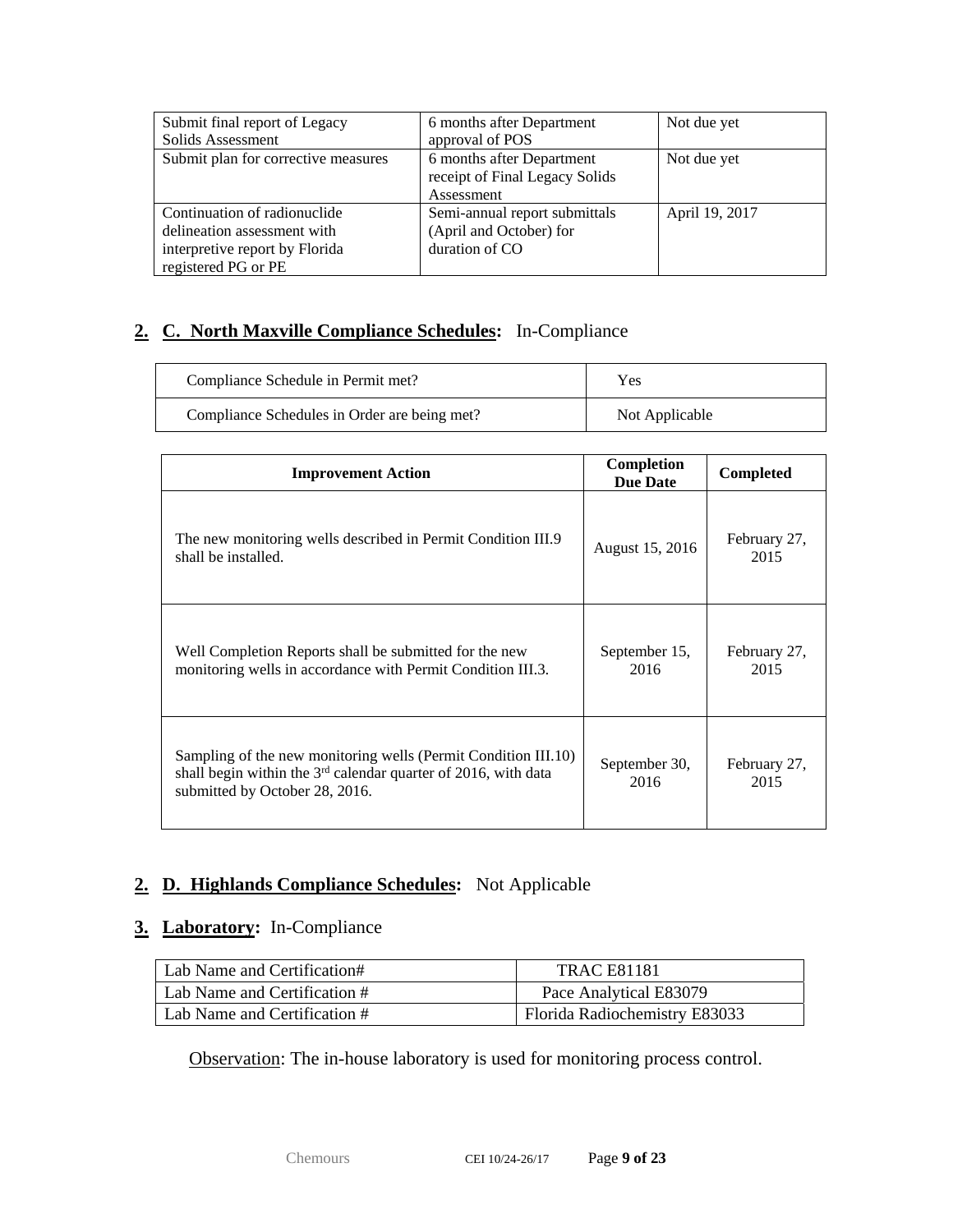| Submit final report of Legacy       | 6 months after Department      | Not due yet    |
|-------------------------------------|--------------------------------|----------------|
| Solids Assessment                   | approval of POS                |                |
| Submit plan for corrective measures | 6 months after Department      | Not due yet    |
|                                     | receipt of Final Legacy Solids |                |
|                                     | Assessment                     |                |
| Continuation of radionuclide        | Semi-annual report submittals  | April 19, 2017 |
| delineation assessment with         | (April and October) for        |                |
| interpretive report by Florida      | duration of CO                 |                |
| registered PG or PE                 |                                |                |

## **2. C. North Maxville Compliance Schedules:** In-Compliance

| Compliance Schedule in Permit met?           | <b>Yes</b>     |
|----------------------------------------------|----------------|
| Compliance Schedules in Order are being met? | Not Applicable |

| <b>Improvement Action</b>                                                                                                                                            | Completion<br><b>Due Date</b> | Completed            |
|----------------------------------------------------------------------------------------------------------------------------------------------------------------------|-------------------------------|----------------------|
| The new monitoring wells described in Permit Condition III.9<br>shall be installed.                                                                                  | August 15, 2016               | February 27,<br>2015 |
| Well Completion Reports shall be submitted for the new<br>monitoring wells in accordance with Permit Condition III.3.                                                | September 15,<br>2016         | February 27,<br>2015 |
| Sampling of the new monitoring wells (Permit Condition III.10)<br>shall begin within the $3rd$ calendar quarter of 2016, with data<br>submitted by October 28, 2016. | September 30,<br>2016         | February 27,<br>2015 |

## **2. D. Highlands Compliance Schedules:** Not Applicable

## **3. Laboratory:** In-Compliance

| Lab Name and Certification#  | <b>TRAC E81181</b>            |
|------------------------------|-------------------------------|
| Lab Name and Certification # | Pace Analytical E83079        |
| Lab Name and Certification # | Florida Radiochemistry E83033 |

Observation: The in-house laboratory is used for monitoring process control.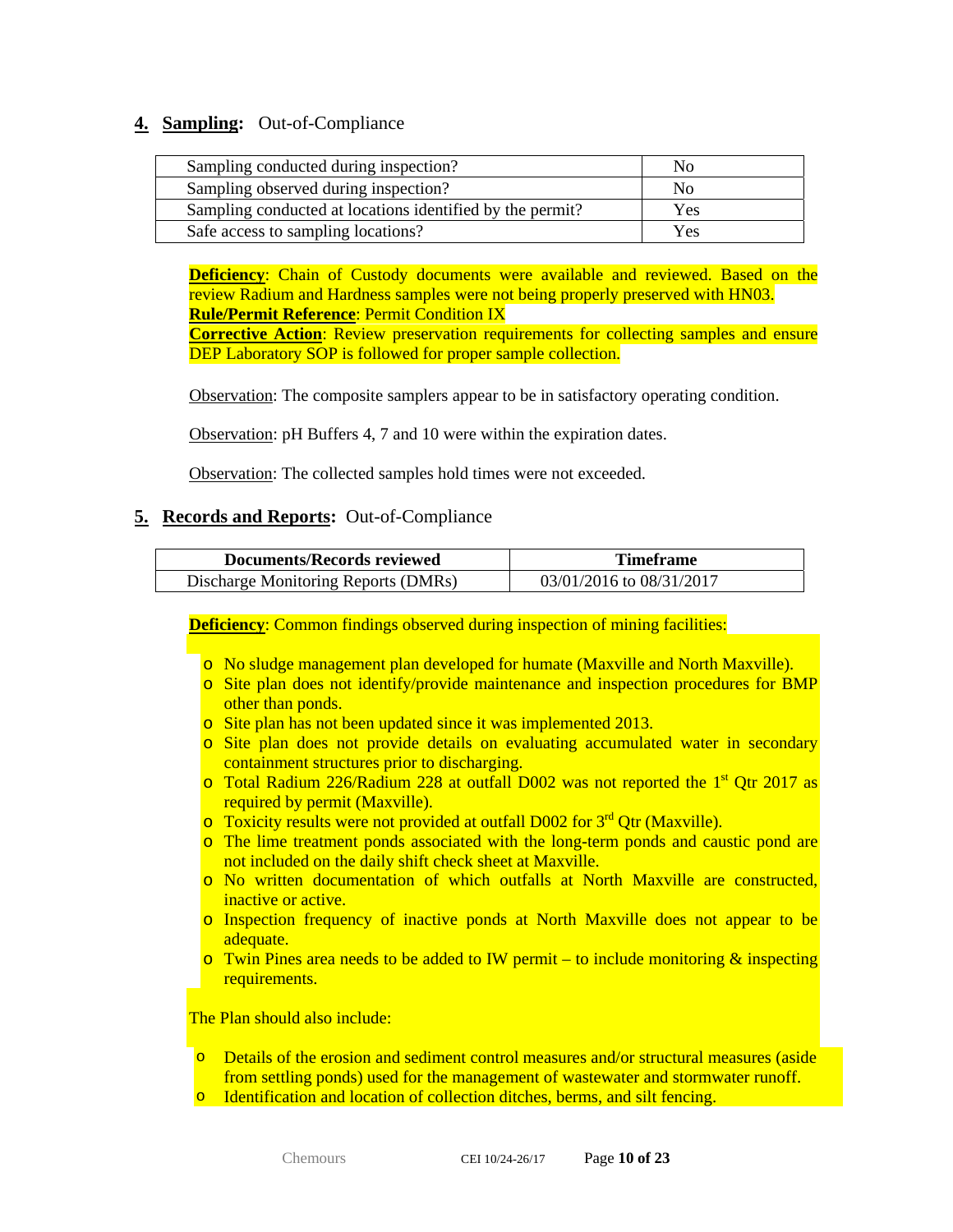#### **4. Sampling:** Out-of-Compliance

| Sampling conducted during inspection?                     | No  |
|-----------------------------------------------------------|-----|
| Sampling observed during inspection?                      | Nο  |
| Sampling conducted at locations identified by the permit? | Yes |
| Safe access to sampling locations?                        | Yes |

**Deficiency:** Chain of Custody documents were available and reviewed. Based on the review Radium and Hardness samples were not being properly preserved with HN03. **Rule/Permit Reference**: Permit Condition IX

**Corrective Action**: Review preservation requirements for collecting samples and ensure DEP Laboratory SOP is followed for proper sample collection.

Observation: The composite samplers appear to be in satisfactory operating condition.

Observation: pH Buffers 4, 7 and 10 were within the expiration dates.

Observation: The collected samples hold times were not exceeded.

#### **5. Records and Reports:** Out-of-Compliance

| Documents/Records reviewed          | <b>Timeframe</b>         |  |
|-------------------------------------|--------------------------|--|
| Discharge Monitoring Reports (DMRs) | 03/01/2016 to 08/31/2017 |  |

**Deficiency:** Common findings observed during inspection of mining facilities:

- o No sludge management plan developed for humate (Maxville and North Maxville).
- $\circ$  Site plan does not identify/provide maintenance and inspection procedures for BMP other than ponds.
- o Site plan has not been updated since it was implemented 2013.
- o Site plan does not provide details on evaluating accumulated water in secondary containment structures prior to discharging.
- $\circ$  Total Radium 226/Radium 228 at outfall D002 was not reported the 1<sup>st</sup> Qtr 2017 as required by permit (Maxville).
- $\circ$  Toxicity results were not provided at outfall D002 for  $3^{rd}$  Qtr (Maxville).
- o The lime treatment ponds associated with the long-term ponds and caustic pond are not included on the daily shift check sheet at Maxville.
- o No written documentation of which outfalls at North Maxville are constructed, inactive or active.
- o Inspection frequency of inactive ponds at North Maxville does not appear to be adequate.
- $\circ$  Twin Pines area needs to be added to IW permit to include monitoring & inspecting requirements.

The Plan should also include:

- o Details of the erosion and sediment control measures and/or structural measures (aside from settling ponds) used for the management of wastewater and stormwater runoff.
- o Identification and location of collection ditches, berms, and silt fencing.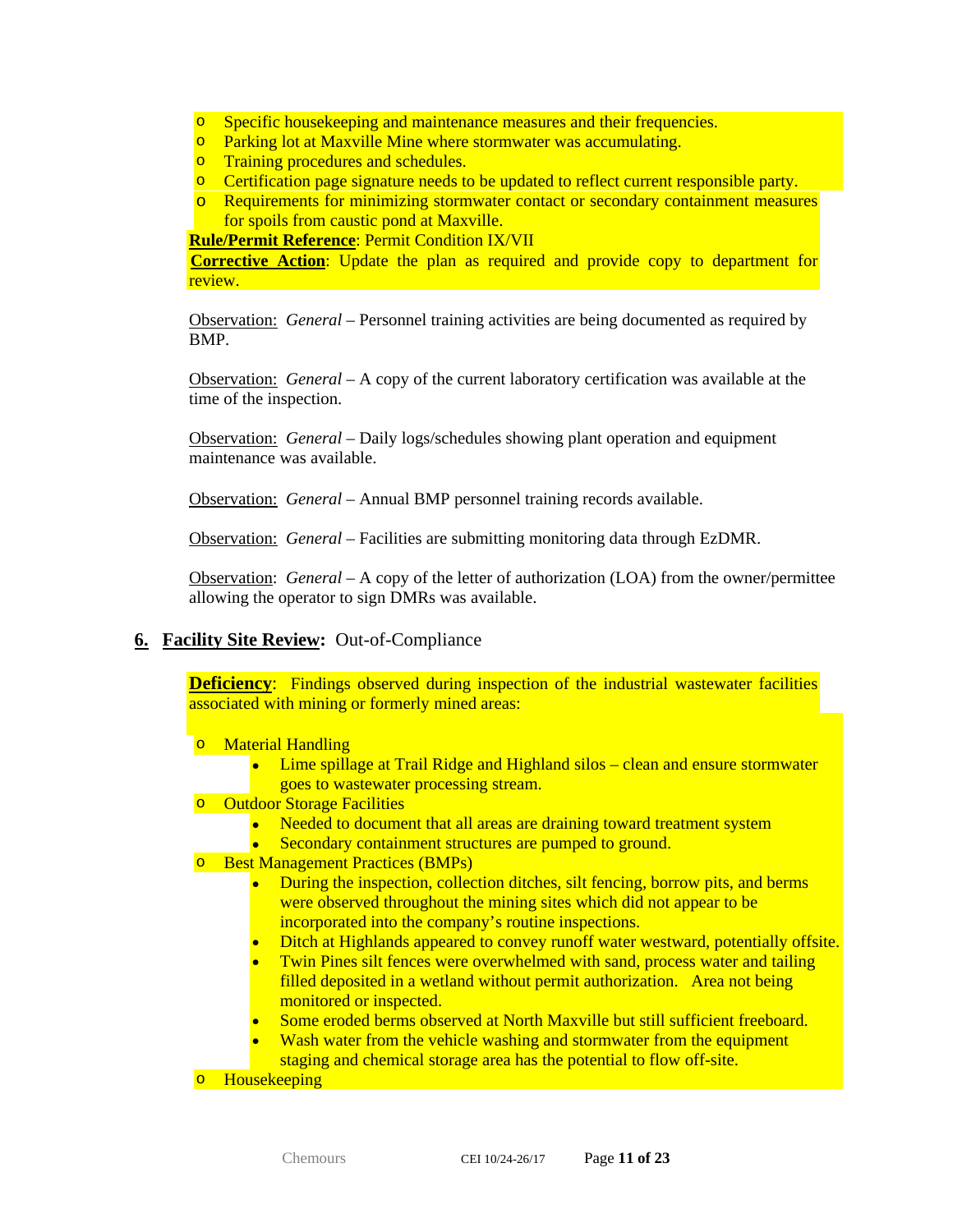- **o** Specific housekeeping and maintenance measures and their frequencies.
- o Parking lot at Maxville Mine where stormwater was accumulating.
- o Training procedures and schedules.
- o Certification page signature needs to be updated to reflect current responsible party.
- o Requirements for minimizing stormwater contact or secondary containment measures for spoils from caustic pond at Maxville.

**Rule/Permit Reference**: Permit Condition IX/VII

**Corrective Action**: Update the plan as required and provide copy to department for review.

Observation: *General –* Personnel training activities are being documented as required by BMP.

Observation: *General –* A copy of the current laboratory certification was available at the time of the inspection.

Observation: *General –* Daily logs/schedules showing plant operation and equipment maintenance was available.

Observation: *General –* Annual BMP personnel training records available.

Observation: *General –* Facilities are submitting monitoring data through EzDMR.

Observation: *General –* A copy of the letter of authorization (LOA) from the owner/permittee allowing the operator to sign DMRs was available.

#### **6. Facility Site Review:** Out-of-Compliance

**Deficiency:** Findings observed during inspection of the industrial wastewater facilities associated with mining or formerly mined areas:

- o Material Handling
	- Lime spillage at Trail Ridge and Highland silos clean and ensure stormwater goes to wastewater processing stream.
- o Outdoor Storage Facilities
	- Needed to document that all areas are draining toward treatment system
	- Secondary containment structures are pumped to ground.
- o Best Management Practices (BMPs)
	- During the inspection, collection ditches, silt fencing, borrow pits, and berms were observed throughout the mining sites which did not appear to be incorporated into the company's routine inspections.
	- Ditch at Highlands appeared to convey runoff water westward, potentially offsite.
	- Twin Pines silt fences were overwhelmed with sand, process water and tailing filled deposited in a wetland without permit authorization. Area not being monitored or inspected.
	- Some eroded berms observed at North Maxville but still sufficient freeboard.
	- Wash water from the vehicle washing and stormwater from the equipment staging and chemical storage area has the potential to flow off-site.

o Housekeeping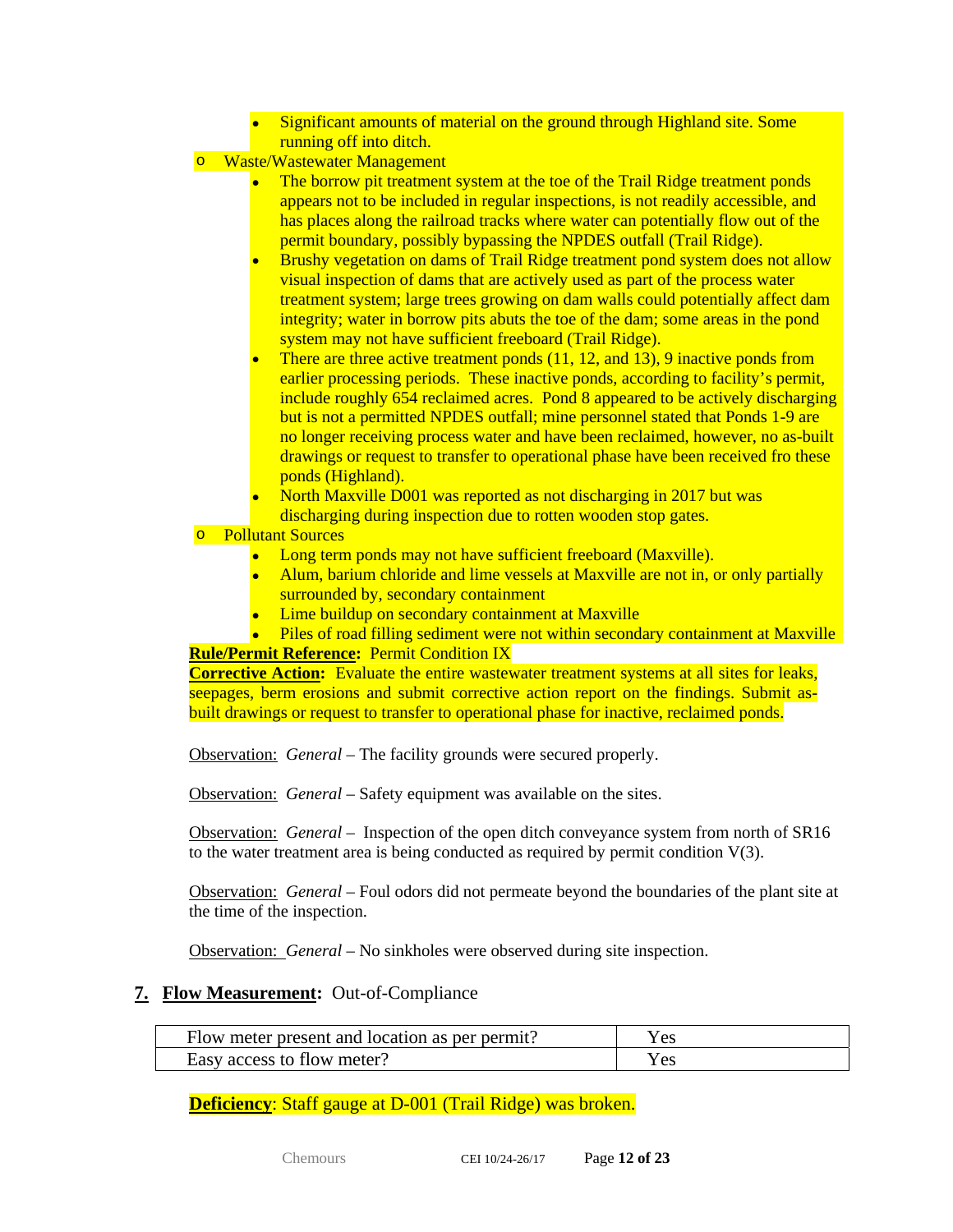- Significant amounts of material on the ground through Highland site. Some running off into ditch.
- o Waste/Wastewater Management
	- The borrow pit treatment system at the toe of the Trail Ridge treatment ponds appears not to be included in regular inspections, is not readily accessible, and has places along the railroad tracks where water can potentially flow out of the permit boundary, possibly bypassing the NPDES outfall (Trail Ridge).
	- Brushy vegetation on dams of Trail Ridge treatment pond system does not allow visual inspection of dams that are actively used as part of the process water treatment system; large trees growing on dam walls could potentially affect dam integrity; water in borrow pits abuts the toe of the dam; some areas in the pond system may not have sufficient freeboard (Trail Ridge).
	- There are three active treatment ponds (11, 12, and 13), 9 inactive ponds from earlier processing periods. These inactive ponds, according to facility's permit, include roughly 654 reclaimed acres. Pond 8 appeared to be actively discharging but is not a permitted NPDES outfall; mine personnel stated that Ponds 1-9 are no longer receiving process water and have been reclaimed, however, no as-built drawings or request to transfer to operational phase have been received fro these ponds (Highland).
	- North Maxville D001 was reported as not discharging in 2017 but was
	- discharging during inspection due to rotten wooden stop gates.

#### o Pollutant Sources

- Long term ponds may not have sufficient freeboard (Maxville).
- Alum, barium chloride and lime vessels at Maxville are not in, or only partially surrounded by, secondary containment
- Lime buildup on secondary containment at Maxville
- Piles of road filling sediment were not within secondary containment at Maxville **Rule/Permit Reference:** Permit Condition IX

**Corrective Action:** Evaluate the entire wastewater treatment systems at all sites for leaks, seepages, berm erosions and submit corrective action report on the findings. Submit asbuilt drawings or request to transfer to operational phase for inactive, reclaimed ponds.

Observation: *General –* The facility grounds were secured properly.

Observation: *General –* Safety equipment was available on the sites.

Observation: *General –* Inspection of the open ditch conveyance system from north of SR16 to the water treatment area is being conducted as required by permit condition  $V(3)$ .

Observation: *General –* Foul odors did not permeate beyond the boundaries of the plant site at the time of the inspection.

Observation: *General –* No sinkholes were observed during site inspection.

#### **7. Flow Measurement:** Out-of-Compliance

| Flow meter present and location as per permit? | r es |
|------------------------------------------------|------|
| Easy access to flow meter?                     |      |

**Deficiency**: Staff gauge at D-001 (Trail Ridge) was broken.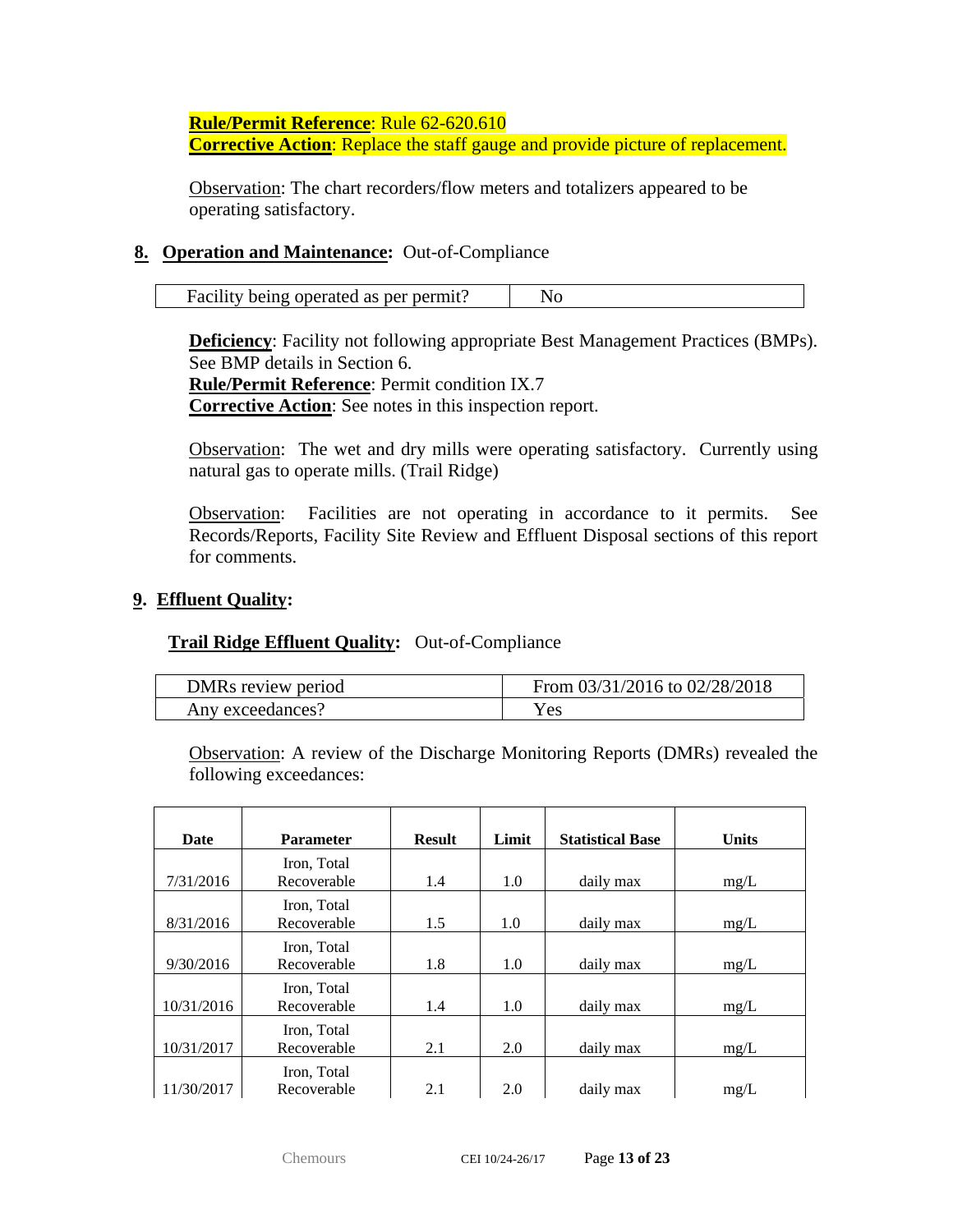**Rule/Permit Reference**: Rule 62-620.610

**Corrective Action**: Replace the staff gauge and provide picture of replacement.

Observation: The chart recorders/flow meters and totalizers appeared to be operating satisfactory.

### **8. Operation and Maintenance:** Out-of-Compliance

| Facility being operated as per permit? |  |
|----------------------------------------|--|
|----------------------------------------|--|

**Deficiency**: Facility not following appropriate Best Management Practices (BMPs). See BMP details in Section 6.

**Rule/Permit Reference**: Permit condition IX.7

**Corrective Action**: See notes in this inspection report.

Observation: The wet and dry mills were operating satisfactory. Currently using natural gas to operate mills. (Trail Ridge)

Observation: Facilities are not operating in accordance to it permits. See Records/Reports, Facility Site Review and Effluent Disposal sections of this report for comments.

#### **9. Effluent Quality:**

#### **Trail Ridge Effluent Quality:** Out-of-Compliance

| DMRs review period | From $03/31/2016$ to $02/28/2018$ |
|--------------------|-----------------------------------|
| Any exceedances?   | Y es                              |

Observation: A review of the Discharge Monitoring Reports (DMRs) revealed the following exceedances:

| Date       | <b>Parameter</b>           | <b>Result</b> | Limit | <b>Statistical Base</b> | <b>Units</b> |
|------------|----------------------------|---------------|-------|-------------------------|--------------|
| 7/31/2016  | Iron, Total<br>Recoverable | 1.4           | 1.0   | daily max               | mg/L         |
| 8/31/2016  | Iron, Total<br>Recoverable | 1.5           | 1.0   | daily max               | mg/L         |
| 9/30/2016  | Iron, Total<br>Recoverable | 1.8           | 1.0   | daily max               | mg/L         |
| 10/31/2016 | Iron, Total<br>Recoverable | 1.4           | 1.0   | daily max               | mg/L         |
| 10/31/2017 | Iron, Total<br>Recoverable | 2.1           | 2.0   | daily max               | mg/L         |
| 11/30/2017 | Iron, Total<br>Recoverable | 2.1           | 2.0   | daily max               | mg/L         |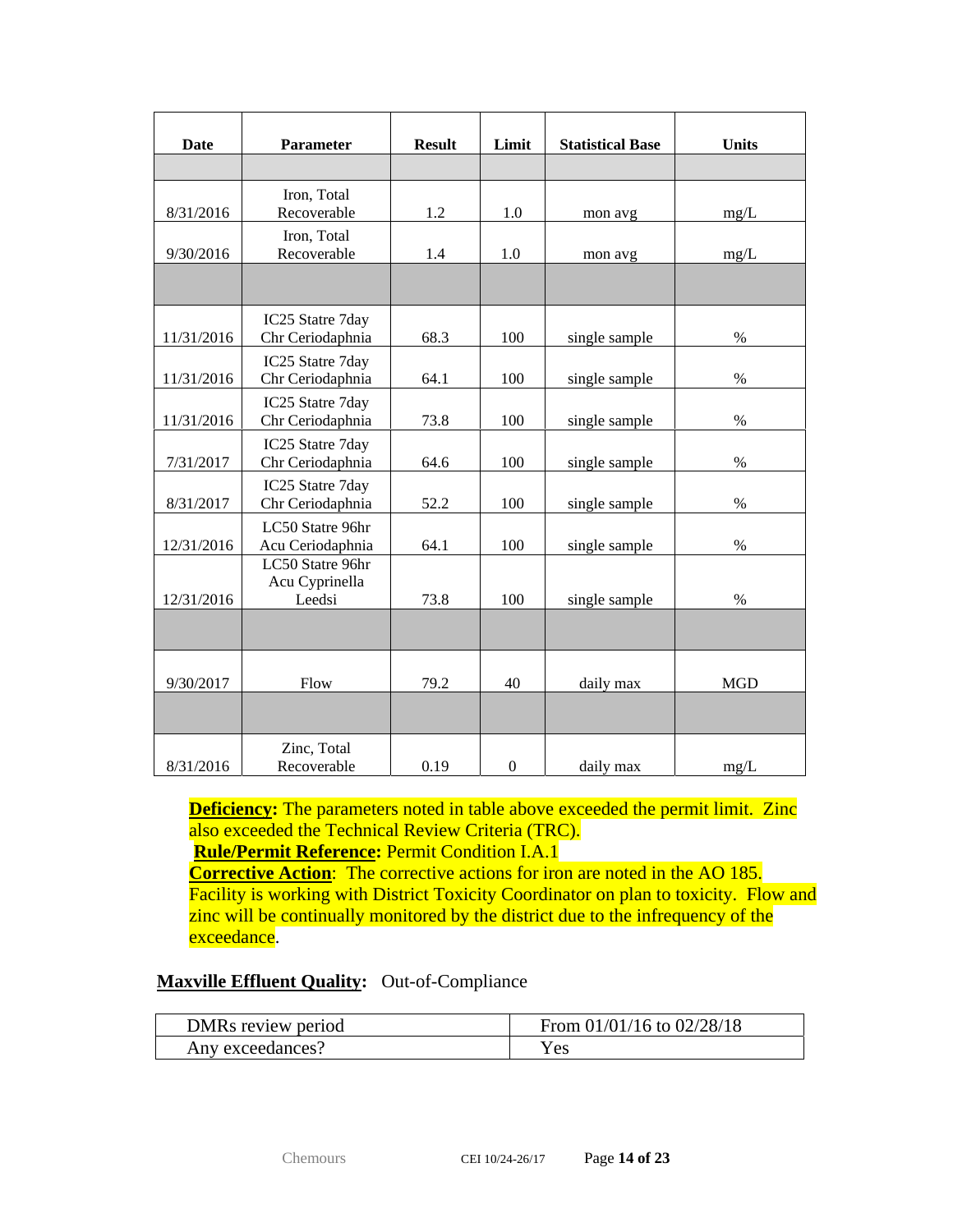| Date       | Parameter                                    | <b>Result</b> | Limit            | <b>Statistical Base</b> | <b>Units</b> |
|------------|----------------------------------------------|---------------|------------------|-------------------------|--------------|
|            |                                              |               |                  |                         |              |
| 8/31/2016  | Iron, Total<br>Recoverable                   | 1.2           | 1.0              | mon avg                 | mg/L         |
| 9/30/2016  | Iron, Total<br>Recoverable                   | 1.4           | 1.0              | mon avg                 | mg/L         |
|            |                                              |               |                  |                         |              |
| 11/31/2016 | IC25 Statre 7day<br>Chr Ceriodaphnia         | 68.3          | 100              | single sample           | $\%$         |
| 11/31/2016 | IC25 Statre 7day<br>Chr Ceriodaphnia         | 64.1          | 100              | single sample           | $\%$         |
| 11/31/2016 | IC25 Statre 7day<br>Chr Ceriodaphnia         | 73.8          | 100              | single sample           | $\%$         |
| 7/31/2017  | IC25 Statre 7day<br>Chr Ceriodaphnia         | 64.6          | 100              | single sample           | $\%$         |
| 8/31/2017  | IC25 Statre 7day<br>Chr Ceriodaphnia         | 52.2          | 100              | single sample           | $\%$         |
| 12/31/2016 | LC50 Statre 96hr<br>Acu Ceriodaphnia         | 64.1          | 100              | single sample           | $\%$         |
| 12/31/2016 | LC50 Statre 96hr<br>Acu Cyprinella<br>Leedsi | 73.8          | 100              | single sample           | $\%$         |
|            |                                              |               |                  |                         |              |
| 9/30/2017  | Flow                                         | 79.2          | 40               | daily max               | <b>MGD</b>   |
|            |                                              |               |                  |                         |              |
| 8/31/2016  | Zinc, Total<br>Recoverable                   | 0.19          | $\boldsymbol{0}$ | daily max               | mg/L         |

**Deficiency:** The parameters noted in table above exceeded the permit limit. Zinc also exceeded the Technical Review Criteria (TRC).

**Rule/Permit Reference:** Permit Condition I.A.1

**Corrective Action**: The corrective actions for iron are noted in the AO 185. Facility is working with District Toxicity Coordinator on plan to toxicity. Flow and zinc will be continually monitored by the district due to the infrequency of the exceedance.

## **Maxville Effluent Quality:** Out-of-Compliance

| DMRs review period | From $01/01/16$ to $02/28/18$ |
|--------------------|-------------------------------|
| Any exceedances?   | Yes                           |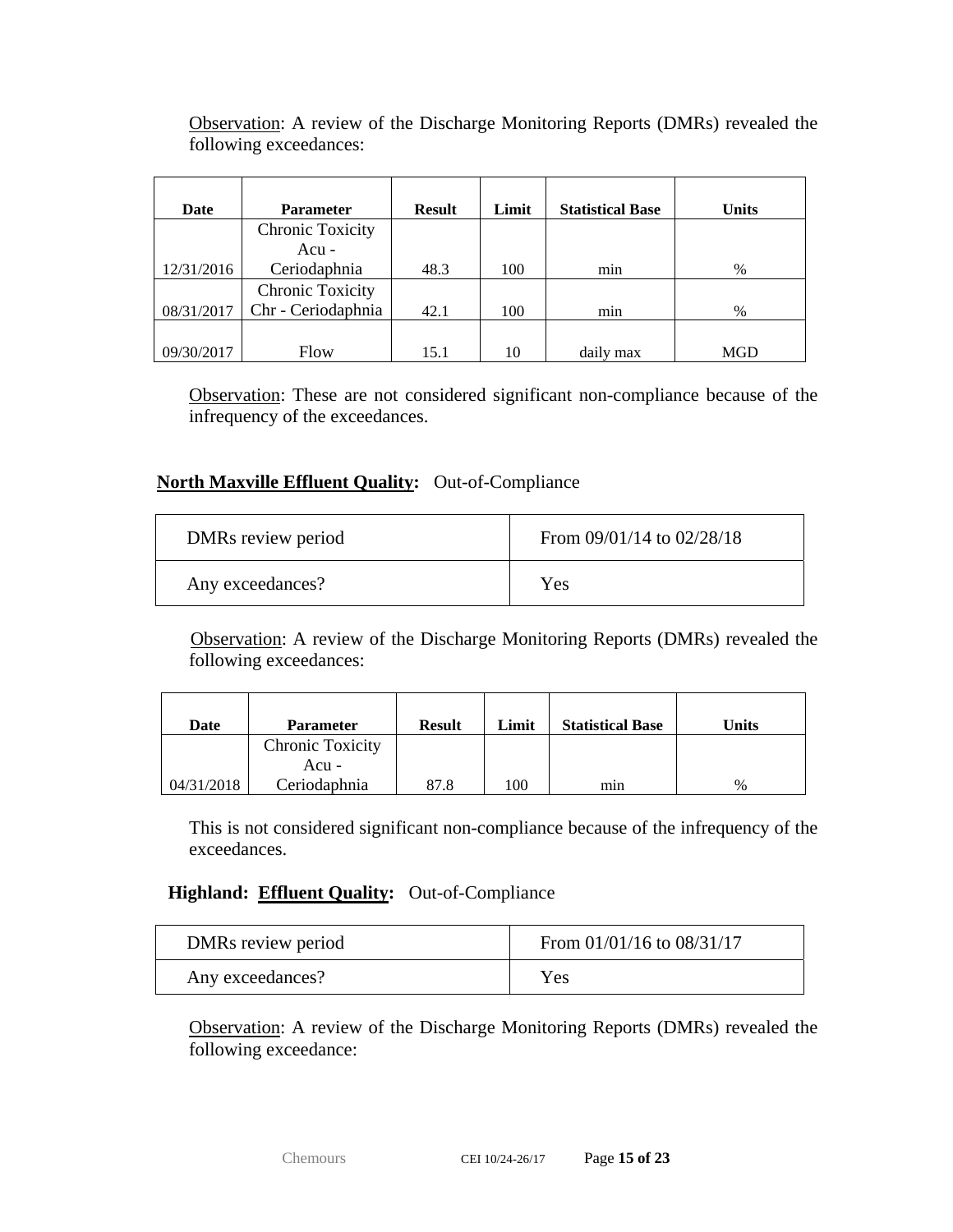| Date       | <b>Parameter</b>        | <b>Result</b> | Limit | <b>Statistical Base</b> | <b>Units</b> |
|------------|-------------------------|---------------|-------|-------------------------|--------------|
|            | <b>Chronic Toxicity</b> |               |       |                         |              |
|            | Acu -                   |               |       |                         |              |
| 12/31/2016 | Ceriodaphnia            | 48.3          | 100   | min                     | $\%$         |
|            | <b>Chronic Toxicity</b> |               |       |                         |              |
| 08/31/2017 | Chr - Ceriodaphnia      | 42.1          | 100   | min                     | $\%$         |
|            |                         |               |       |                         |              |
| 09/30/2017 | Flow                    | 15.1          | 10    | daily max               | MGD          |

Observation: A review of the Discharge Monitoring Reports (DMRs) revealed the following exceedances:

Observation: These are not considered significant non-compliance because of the infrequency of the exceedances.

#### **North Maxville Effluent Quality:** Out-of-Compliance

| DMRs review period | From $09/01/14$ to $02/28/18$ |
|--------------------|-------------------------------|
| Any exceedances?   | Yes                           |

Observation: A review of the Discharge Monitoring Reports (DMRs) revealed the following exceedances:

| Date       | <b>Parameter</b> | <b>Result</b> | Limit   | <b>Statistical Base</b> | Units |
|------------|------------------|---------------|---------|-------------------------|-------|
|            | Chronic Toxicity |               |         |                         |       |
|            | Acu -            |               |         |                         |       |
| 04/31/2018 | Ceriodaphnia     | 87.8          | $.00\,$ | mın                     | $\%$  |

This is not considered significant non-compliance because of the infrequency of the exceedances.

#### **Highland: Effluent Quality:** Out-of-Compliance

| DMRs review period | From $01/01/16$ to $08/31/17$ |
|--------------------|-------------------------------|
| Any exceedances?   | Yes                           |

Observation: A review of the Discharge Monitoring Reports (DMRs) revealed the following exceedance: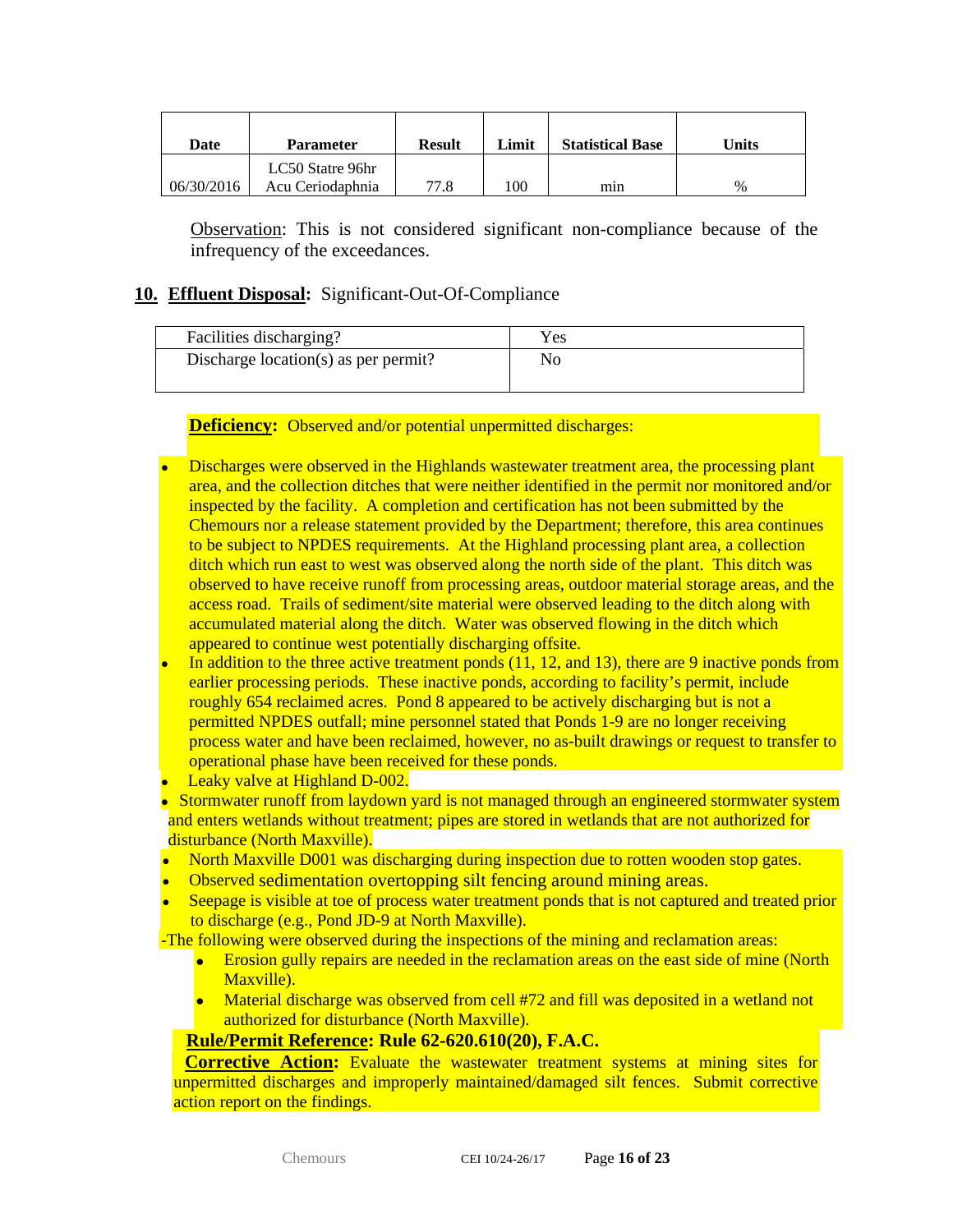| Date       | <b>Parameter</b>                     | <b>Result</b> | Limit | <b>Statistical Base</b> | Units |
|------------|--------------------------------------|---------------|-------|-------------------------|-------|
| 06/30/2016 | LC50 Statre 96hr<br>Acu Ceriodaphnia | 77.8          | 100   | mın                     | $\%$  |

Observation: This is not considered significant non-compliance because of the infrequency of the exceedances.

#### **10. Effluent Disposal:** Significant-Out-Of-Compliance

| Facilities discharging?              | Yes |
|--------------------------------------|-----|
| Discharge location(s) as per permit? | No  |

**Deficiency:** Observed and/or potential unpermitted discharges:

- Discharges were observed in the Highlands wastewater treatment area, the processing plant area, and the collection ditches that were neither identified in the permit nor monitored and/or inspected by the facility. A completion and certification has not been submitted by the Chemours nor a release statement provided by the Department; therefore, this area continues to be subject to NPDES requirements. At the Highland processing plant area, a collection ditch which run east to west was observed along the north side of the plant. This ditch was observed to have receive runoff from processing areas, outdoor material storage areas, and the access road. Trails of sediment/site material were observed leading to the ditch along with accumulated material along the ditch. Water was observed flowing in the ditch which appeared to continue west potentially discharging offsite.
- In addition to the three active treatment ponds (11, 12, and 13), there are 9 inactive ponds from earlier processing periods. These inactive ponds, according to facility's permit, include roughly 654 reclaimed acres. Pond 8 appeared to be actively discharging but is not a permitted NPDES outfall; mine personnel stated that Ponds 1-9 are no longer receiving process water and have been reclaimed, however, no as-built drawings or request to transfer to operational phase have been received for these ponds.
- Leaky valve at Highland D-002.
- Stormwater runoff from laydown yard is not managed through an engineered stormwater system and enters wetlands without treatment; pipes are stored in wetlands that are not authorized for disturbance (North Maxville).
- North Maxville D001 was discharging during inspection due to rotten wooden stop gates.
- Observed sedimentation overtopping silt fencing around mining areas.
- Seepage is visible at toe of process water treatment ponds that is not captured and treated prior to discharge (e.g., Pond JD-9 at North Maxville).

-The following were observed during the inspections of the mining and reclamation areas:

- Erosion gully repairs are needed in the reclamation areas on the east side of mine (North Maxville).
- Material discharge was observed from cell #72 and fill was deposited in a wetland not authorized for disturbance (North Maxville).

#### **Rule/Permit Reference: Rule 62-620.610(20), F.A.C.**

**Corrective Action:** Evaluate the wastewater treatment systems at mining sites for unpermitted discharges and improperly maintained/damaged silt fences. Submit corrective action report on the findings.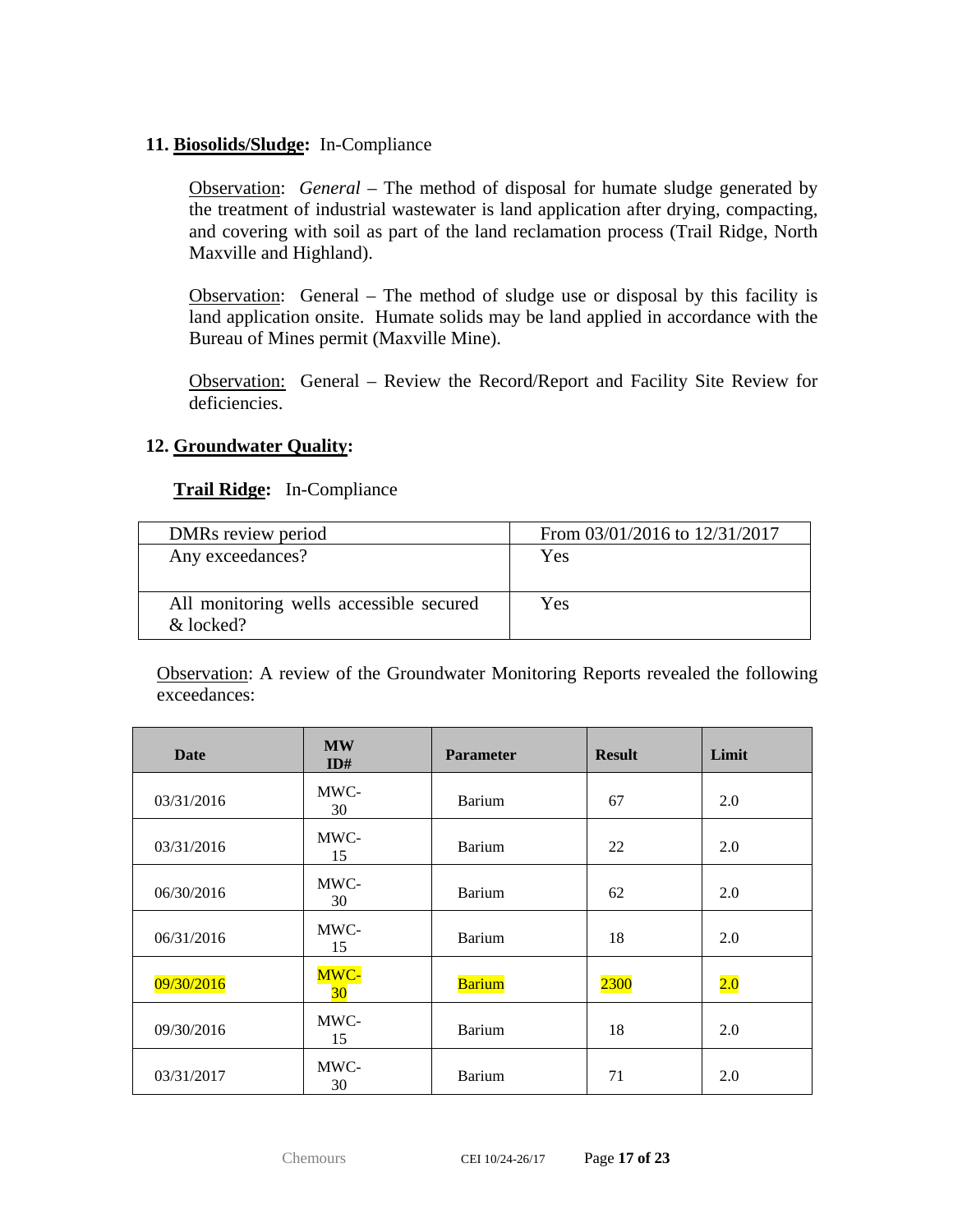## **11. Biosolids/Sludge:** In-Compliance

Observation: *General –* The method of disposal for humate sludge generated by the treatment of industrial wastewater is land application after drying, compacting, and covering with soil as part of the land reclamation process (Trail Ridge, North Maxville and Highland).

Observation: General – The method of sludge use or disposal by this facility is land application onsite. Humate solids may be land applied in accordance with the Bureau of Mines permit (Maxville Mine).

Observation: General – Review the Record/Report and Facility Site Review for deficiencies.

#### **12. Groundwater Quality:**

#### **Trail Ridge:** In-Compliance

| DMRs review period                      | From 03/01/2016 to 12/31/2017 |
|-----------------------------------------|-------------------------------|
| Any exceedances?                        | Yes                           |
|                                         |                               |
| All monitoring wells accessible secured | Yes                           |
| & locked?                               |                               |

| <b>Date</b> | <b>MW</b><br>ID# | <b>Parameter</b> | <b>Result</b> | Limit |
|-------------|------------------|------------------|---------------|-------|
| 03/31/2016  | MWC-<br>30       | <b>Barium</b>    | 67            | 2.0   |
| 03/31/2016  | MWC-<br>15       | Barium           | 22            | 2.0   |
| 06/30/2016  | MWC-<br>30       | Barium           | 62            | 2.0   |
| 06/31/2016  | MWC-<br>15       | <b>Barium</b>    | 18            | 2.0   |
| 09/30/2016  | MWC-<br>30       | <b>Barium</b>    | 2300          | 2.0   |
| 09/30/2016  | MWC-<br>15       | Barium           | 18            | 2.0   |
| 03/31/2017  | MWC-<br>30       | <b>Barium</b>    | 71            | 2.0   |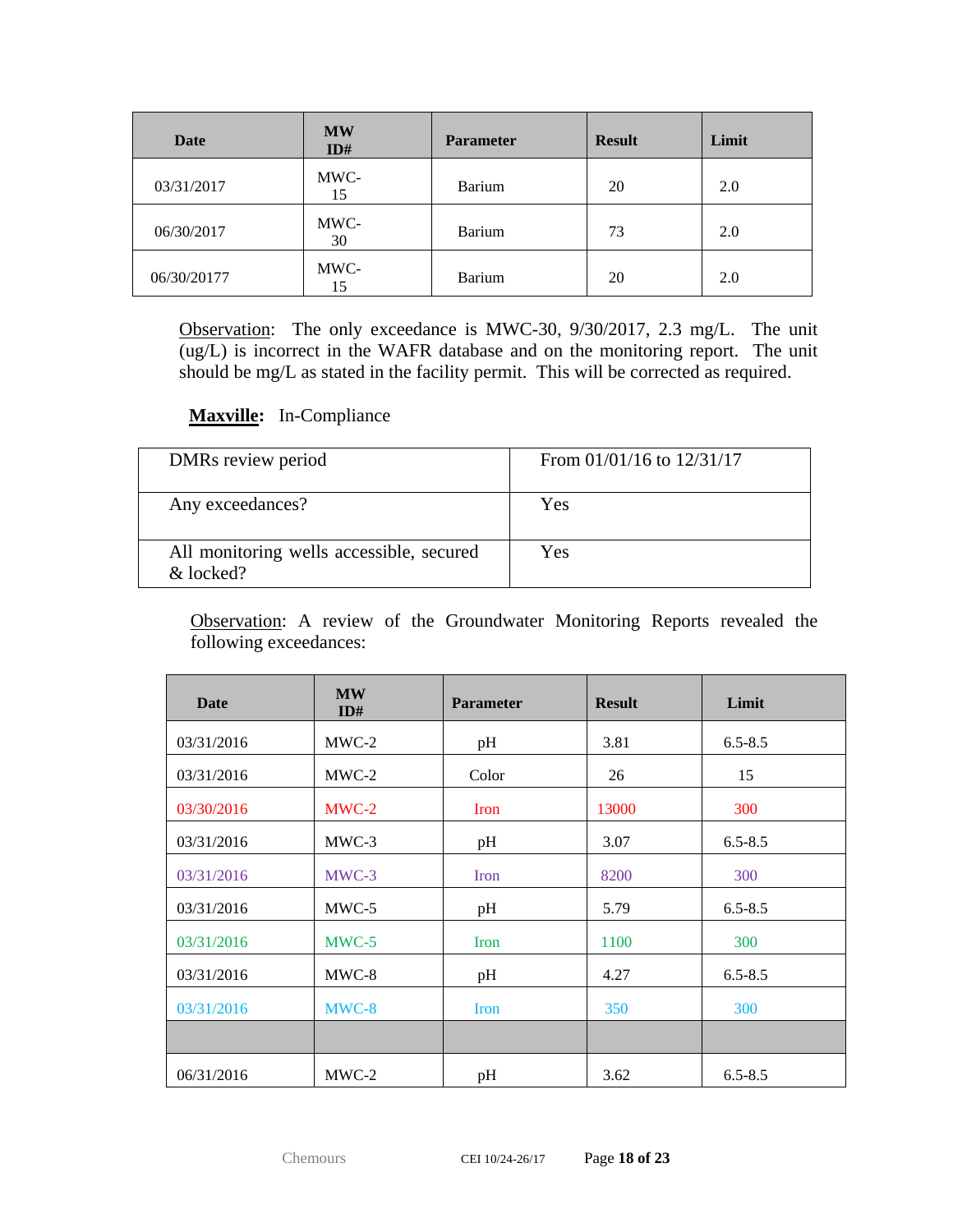| <b>Date</b> | <b>MW</b><br>ID# | <b>Parameter</b> | <b>Result</b> | Limit |
|-------------|------------------|------------------|---------------|-------|
| 03/31/2017  | MWC-<br>15       | Barium           | 20            | 2.0   |
| 06/30/2017  | MWC-<br>30       | Barium           | 73            | 2.0   |
| 06/30/20177 | MWC-<br>15       | Barium           | 20            | 2.0   |

Observation: The only exceedance is MWC-30, 9/30/2017, 2.3 mg/L. The unit (ug/L) is incorrect in the WAFR database and on the monitoring report. The unit should be mg/L as stated in the facility permit. This will be corrected as required.

## **Maxville:** In-Compliance

| DMRs review period                                    | From $01/01/16$ to $12/31/17$ |
|-------------------------------------------------------|-------------------------------|
| Any exceedances?                                      | Yes                           |
| All monitoring wells accessible, secured<br>& locked? | Yes                           |

| Date       | <b>MW</b><br>ID# | <b>Parameter</b> | <b>Result</b> | Limit       |
|------------|------------------|------------------|---------------|-------------|
| 03/31/2016 | MWC-2            | pH               | 3.81          | $6.5 - 8.5$ |
| 03/31/2016 | $MWC-2$          | Color            | 26            | 15          |
| 03/30/2016 | $MWC-2$          | Iron             | 13000         | 300         |
| 03/31/2016 | MWC-3            | pH               | 3.07          | $6.5 - 8.5$ |
| 03/31/2016 | MWC-3            | Iron             | 8200          | 300         |
| 03/31/2016 | MWC-5            | pH               | 5.79          | $6.5 - 8.5$ |
| 03/31/2016 | $MWC-5$          | <b>Iron</b>      | 1100          | 300         |
| 03/31/2016 | MWC-8            | pH               | 4.27          | $6.5 - 8.5$ |
| 03/31/2016 | MWC-8            | Iron             | 350           | 300         |
|            |                  |                  |               |             |
| 06/31/2016 | $MWC-2$          | pH               | 3.62          | $6.5 - 8.5$ |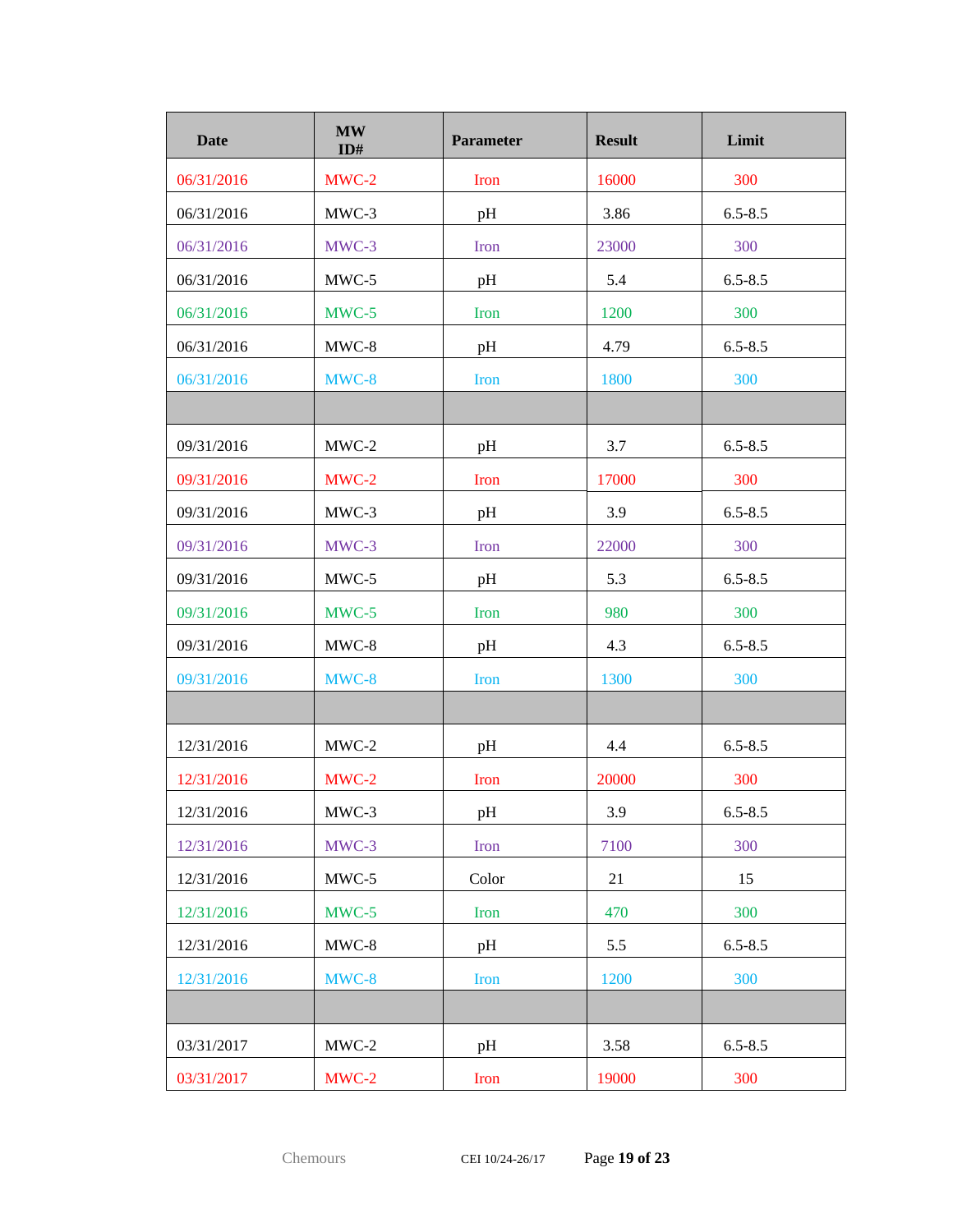| <b>Date</b> | <b>MW</b><br>ID# | <b>Parameter</b> | <b>Result</b> | Limit       |
|-------------|------------------|------------------|---------------|-------------|
| 06/31/2016  | $MWC-2$          | <b>Iron</b>      | 16000         | 300         |
| 06/31/2016  | MWC-3            | pH               | 3.86          | $6.5 - 8.5$ |
| 06/31/2016  | MWC-3            | Iron             | 23000         | 300         |
| 06/31/2016  | MWC-5            | pH               | 5.4           | $6.5 - 8.5$ |
| 06/31/2016  | MWC-5            | Iron             | 1200          | 300         |
| 06/31/2016  | MWC-8            | pH               | 4.79          | $6.5 - 8.5$ |
| 06/31/2016  | MWC-8            | <b>Iron</b>      | 1800          | 300         |
|             |                  |                  |               |             |
| 09/31/2016  | $MWC-2$          | pH               | 3.7           | $6.5 - 8.5$ |
| 09/31/2016  | $MWC-2$          | <b>Iron</b>      | 17000         | 300         |
| 09/31/2016  | MWC-3            | pH               | 3.9           | $6.5 - 8.5$ |
| 09/31/2016  | MWC-3            | <b>Iron</b>      | 22000         | 300         |
| 09/31/2016  | MWC-5            | pH               | 5.3           | $6.5 - 8.5$ |
| 09/31/2016  | $MWC-5$          | <b>Iron</b>      | 980           | 300         |
| 09/31/2016  | MWC-8            | pH               | 4.3           | $6.5 - 8.5$ |
| 09/31/2016  | MWC-8            | Iron             | 1300          | 300         |
|             |                  |                  |               |             |
| 12/31/2016  | $MWC-2$          | pH               | 4.4           | $6.5 - 8.5$ |
| 12/31/2016  | MWC-2            | Iron             | 20000         | 300         |
| 12/31/2016  | MWC-3            | pH               | 3.9           | $6.5 - 8.5$ |
| 12/31/2016  | MWC-3            | <b>Iron</b>      | 7100          | 300         |
| 12/31/2016  | MWC-5            | Color            | 21            | 15          |
| 12/31/2016  | MWC-5            | Iron             | 470           | 300         |
| 12/31/2016  | MWC-8            | pH               | 5.5           | $6.5 - 8.5$ |
| 12/31/2016  | MWC-8            | Iron             | 1200          | 300         |
|             |                  |                  |               |             |
| 03/31/2017  | $MWC-2$          | pH               | 3.58          | $6.5 - 8.5$ |
| 03/31/2017  | $MWC-2$          | Iron             | 19000         | 300         |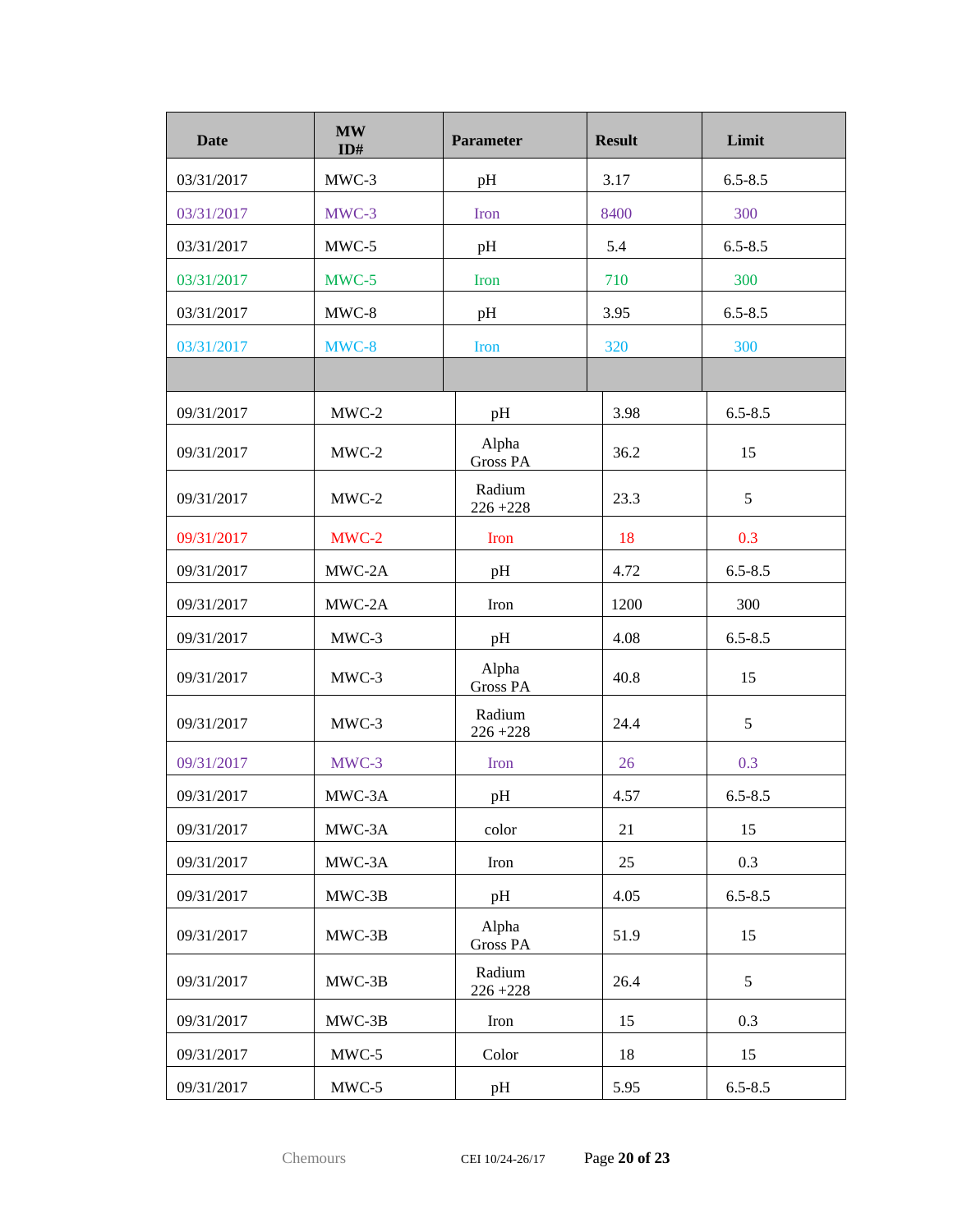| <b>Date</b> | <b>MW</b><br>ID# | <b>Parameter</b>         | <b>Result</b> | Limit       |
|-------------|------------------|--------------------------|---------------|-------------|
| 03/31/2017  | MWC-3            | pH                       | 3.17          | $6.5 - 8.5$ |
| 03/31/2017  | MWC-3            | <b>Iron</b>              | 8400          | 300         |
| 03/31/2017  | $MWC-5$          | pH                       | 5.4           | $6.5 - 8.5$ |
| 03/31/2017  | MWC-5            | Iron                     | 710           | 300         |
| 03/31/2017  | MWC-8            | pH                       | 3.95          | $6.5 - 8.5$ |
| 03/31/2017  | MWC-8            | <b>Iron</b>              | 320           | 300         |
|             |                  |                          |               |             |
| 09/31/2017  | $MWC-2$          | pH                       | 3.98          | $6.5 - 8.5$ |
| 09/31/2017  | $MWC-2$          | Alpha<br><b>Gross PA</b> | 36.2          | 15          |
| 09/31/2017  | $MWC-2$          | Radium<br>$226 + 228$    | 23.3          | 5           |
| 09/31/2017  | MWC-2            | Iron                     | 18            | 0.3         |
| 09/31/2017  | MWC-2A           | pH                       | 4.72          | $6.5 - 8.5$ |
| 09/31/2017  | MWC-2A           | Iron                     | 1200          | 300         |
| 09/31/2017  | MWC-3            | pH                       | 4.08          | $6.5 - 8.5$ |
| 09/31/2017  | MWC-3            | Alpha<br><b>Gross PA</b> | 40.8          | 15          |
| 09/31/2017  | MWC-3            | Radium<br>$226 + 228$    | 24.4          | 5           |
| 09/31/2017  | MWC-3            | <b>Iron</b>              | 26            | 0.3         |
| 09/31/2017  | MWC-3A           | pH                       | 4.57          | $6.5 - 8.5$ |
| 09/31/2017  | MWC-3A           | color                    | 21            | 15          |
| 09/31/2017  | MWC-3A           | Iron                     | 25            | 0.3         |
| 09/31/2017  | MWC-3B           | pH                       | 4.05          | $6.5 - 8.5$ |
| 09/31/2017  | MWC-3B           | Alpha<br><b>Gross PA</b> | 51.9          | 15          |
| 09/31/2017  | MWC-3B           | Radium<br>$226 + 228$    | 26.4          | 5           |
| 09/31/2017  | $MWC-3B$         | Iron                     | 15            | 0.3         |
| 09/31/2017  | $MWC-5$          | Color                    | 18            | 15          |
| 09/31/2017  | $MWC-5$          | pH                       | 5.95          | $6.5 - 8.5$ |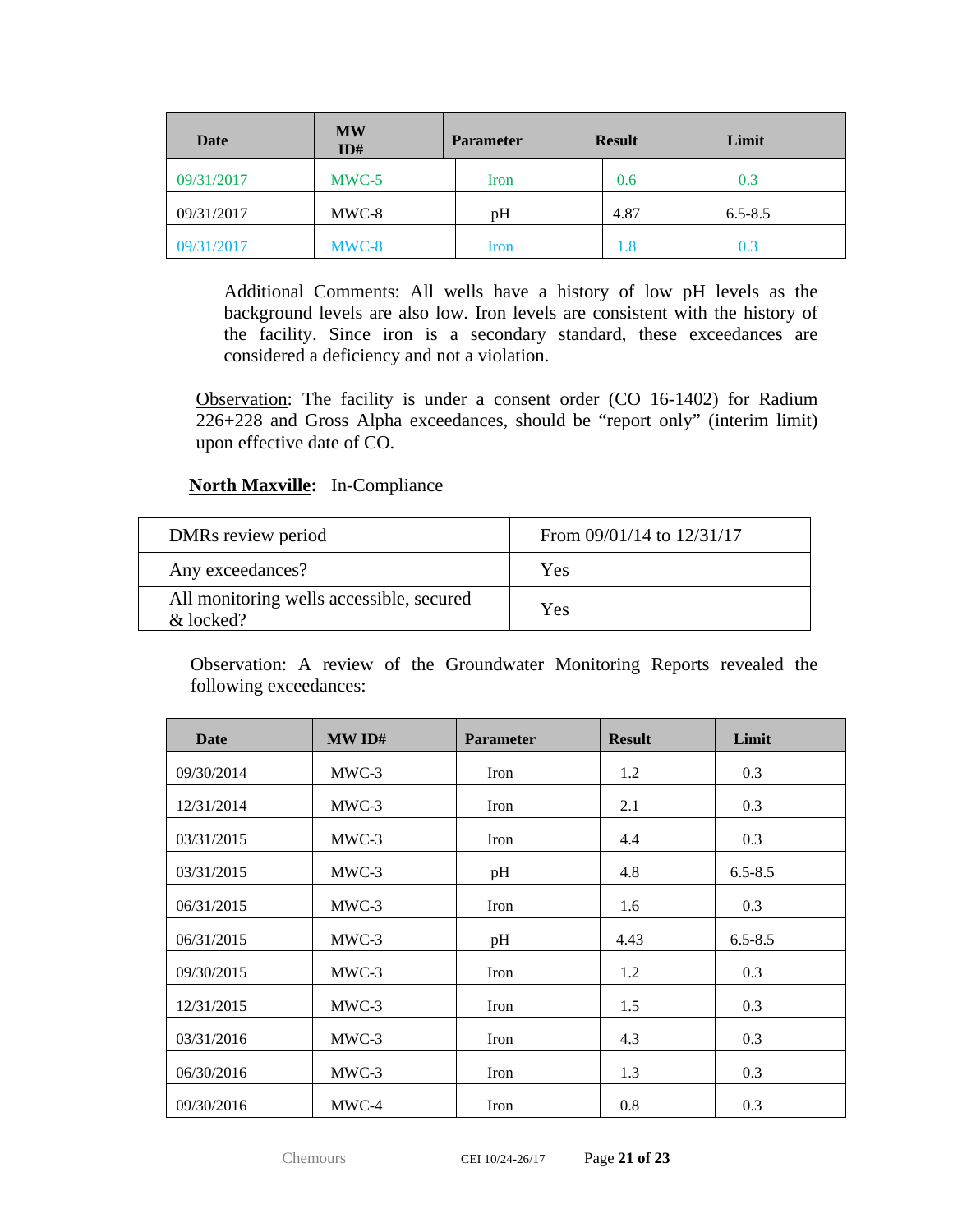| <b>Date</b> | <b>MW</b><br>ID# | <b>Parameter</b> | <b>Result</b> | Limit       |
|-------------|------------------|------------------|---------------|-------------|
| 09/31/2017  | $MWC-5$          | Iron             | 0.6           | 0.3         |
| 09/31/2017  | MWC-8            | pH               | 4.87          | $6.5 - 8.5$ |
| 09/31/2017  | MWC-8            | Iron             | 1.8           | 0.3         |

Additional Comments: All wells have a history of low pH levels as the background levels are also low. Iron levels are consistent with the history of the facility. Since iron is a secondary standard, these exceedances are considered a deficiency and not a violation.

Observation: The facility is under a consent order (CO 16-1402) for Radium 226+228 and Gross Alpha exceedances, should be "report only" (interim limit) upon effective date of CO.

#### **North Maxville:** In-Compliance

| DMRs review period                                    | From $09/01/14$ to $12/31/17$ |
|-------------------------------------------------------|-------------------------------|
| Any exceedances?                                      | Yes                           |
| All monitoring wells accessible, secured<br>& locked? | Yes                           |

| <b>Date</b> | MWID#   | <b>Parameter</b> | <b>Result</b> | Limit       |
|-------------|---------|------------------|---------------|-------------|
| 09/30/2014  | $MWC-3$ | Iron             | 1.2           | 0.3         |
| 12/31/2014  | $MWC-3$ | Iron             | 2.1           | 0.3         |
| 03/31/2015  | $MWC-3$ | Iron             | 4.4           | 0.3         |
| 03/31/2015  | $MWC-3$ | pH               | 4.8           | $6.5 - 8.5$ |
| 06/31/2015  | MWC-3   | Iron             | 1.6           | 0.3         |
| 06/31/2015  | MWC-3   | pH               | 4.43          | $6.5 - 8.5$ |
| 09/30/2015  | MWC-3   | Iron             | 1.2           | 0.3         |
| 12/31/2015  | $MWC-3$ | Iron             | 1.5           | 0.3         |
| 03/31/2016  | $MWC-3$ | Iron             | 4.3           | 0.3         |
| 06/30/2016  | $MWC-3$ | Iron             | 1.3           | 0.3         |
| 09/30/2016  | MWC-4   | Iron             | 0.8           | 0.3         |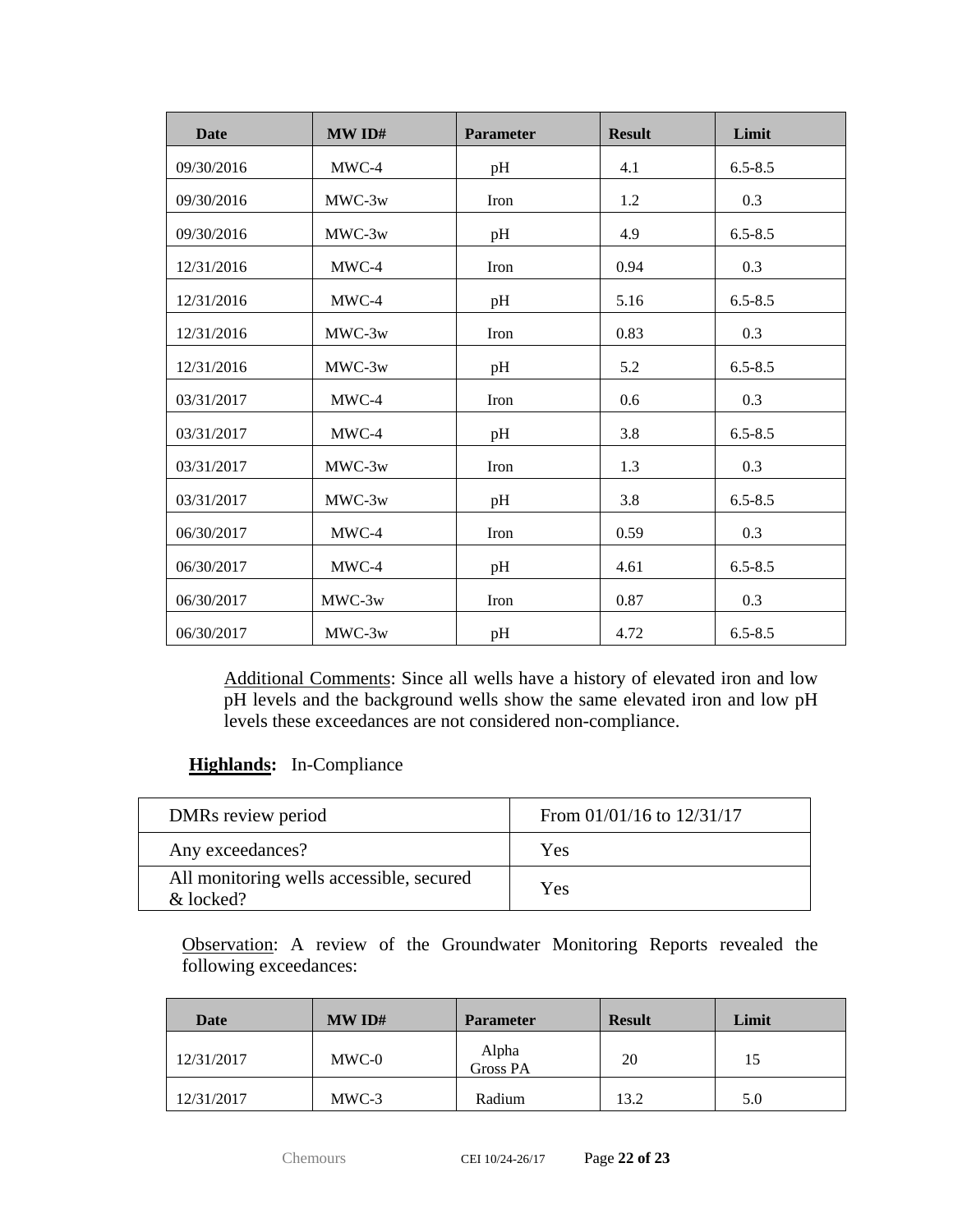| <b>Date</b> | MW ID#   | <b>Parameter</b> | <b>Result</b> | Limit       |
|-------------|----------|------------------|---------------|-------------|
| 09/30/2016  | $MWC-4$  | pH               | 4.1           | $6.5 - 8.5$ |
| 09/30/2016  | MWC-3w   | Iron             | 1.2           | 0.3         |
| 09/30/2016  | MWC-3w   | pH               | 4.9           | $6.5 - 8.5$ |
| 12/31/2016  | MWC-4    | Iron             | 0.94          | 0.3         |
| 12/31/2016  | MWC-4    | pH               | 5.16          | $6.5 - 8.5$ |
| 12/31/2016  | MWC-3w   | Iron             | 0.83          | 0.3         |
| 12/31/2016  | MWC-3w   | pH               | 5.2           | $6.5 - 8.5$ |
| 03/31/2017  | MWC-4    | Iron             | 0.6           | 0.3         |
| 03/31/2017  | MWC-4    | pH               | 3.8           | $6.5 - 8.5$ |
| 03/31/2017  | MWC-3w   | Iron             | 1.3           | 0.3         |
| 03/31/2017  | $MWC-3w$ | pH               | 3.8           | $6.5 - 8.5$ |
| 06/30/2017  | MWC-4    | Iron             | 0.59          | 0.3         |
| 06/30/2017  | MWC-4    | pH               | 4.61          | $6.5 - 8.5$ |
| 06/30/2017  | MWC-3w   | Iron             | 0.87          | 0.3         |
| 06/30/2017  | MWC-3w   | pH               | 4.72          | $6.5 - 8.5$ |

Additional Comments: Since all wells have a history of elevated iron and low pH levels and the background wells show the same elevated iron and low pH levels these exceedances are not considered non-compliance.

## **Highlands:** In-Compliance

| DMRs review period                                    | From $01/01/16$ to $12/31/17$ |
|-------------------------------------------------------|-------------------------------|
| Any exceedances?                                      | Yes                           |
| All monitoring wells accessible, secured<br>& locked? | Yes                           |

| Date       | MWID#   | <b>Parameter</b>  | <b>Result</b> | Limit |
|------------|---------|-------------------|---------------|-------|
| 12/31/2017 | MWC-0   | Alpha<br>Gross PA | 20            | 15    |
| 12/31/2017 | $MWC-3$ | Radium            | 13.2          | 5.0   |